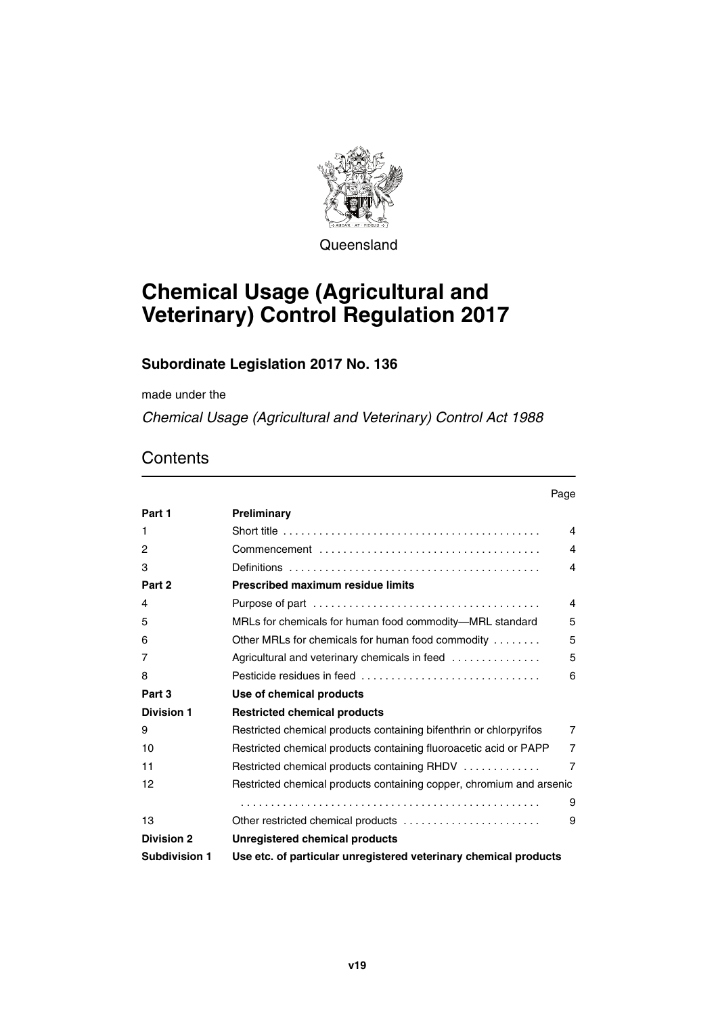

Queensland

# **Chemical Usage (Agricultural and Veterinary) Control Regulation 2017**

### **Subordinate Legislation 2017 No. 136**

made under the

*Chemical Usage (Agricultural and Veterinary) Control Act 1988*

## **Contents**

|                   | Page                                                                 |                         |
|-------------------|----------------------------------------------------------------------|-------------------------|
| Part 1            | Preliminary                                                          |                         |
| 1                 |                                                                      | $\overline{4}$          |
| 2                 |                                                                      | 4                       |
| 3                 |                                                                      | $\overline{\mathbf{4}}$ |
| Part 2            | <b>Prescribed maximum residue limits</b>                             |                         |
| 4                 |                                                                      | $\overline{4}$          |
| 5                 | MRLs for chemicals for human food commodity-MRL standard             | 5                       |
| 6                 | Other MRLs for chemicals for human food commodity                    | 5                       |
| 7                 | Agricultural and veterinary chemicals in feed                        | 5                       |
| 8                 | Pesticide residues in feed                                           | 6                       |
| Part 3            | Use of chemical products                                             |                         |
| <b>Division 1</b> | <b>Restricted chemical products</b>                                  |                         |
| 9                 | Restricted chemical products containing bifenthrin or chlorpyrifos   | $\overline{7}$          |
| 10                | Restricted chemical products containing fluoroacetic acid or PAPP    | $\overline{7}$          |
| 11                | Restricted chemical products containing RHDV                         | $\overline{7}$          |
| 12                | Restricted chemical products containing copper, chromium and arsenic |                         |
|                   |                                                                      | 9                       |
| 13                | Other restricted chemical products                                   | 9                       |
| <b>Division 2</b> | Unregistered chemical products                                       |                         |
| Subdivision 1     | Use etc. of particular unregistered veterinary chemical products     |                         |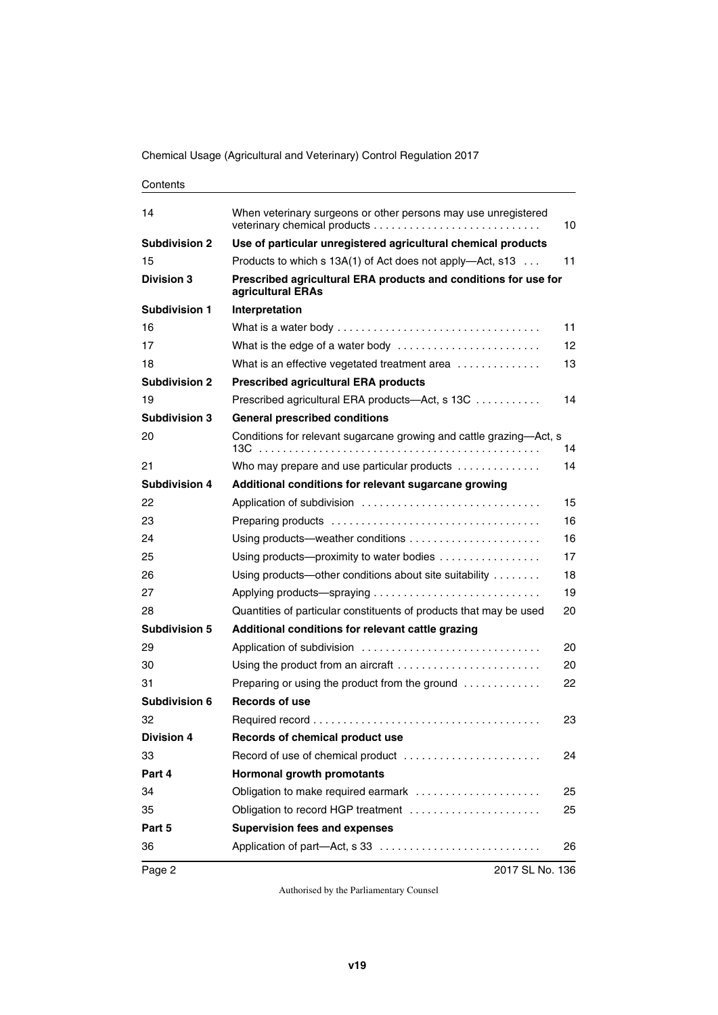Chemical Usage (Agricultural and Veterinary) Control Regulation 2017

| 14                   | When veterinary surgeons or other persons may use unregistered                       | 10 |
|----------------------|--------------------------------------------------------------------------------------|----|
| <b>Subdivision 2</b> | Use of particular unregistered agricultural chemical products                        |    |
| 15                   | Products to which s 13A(1) of Act does not apply—Act, s13                            | 11 |
| <b>Division 3</b>    | Prescribed agricultural ERA products and conditions for use for<br>agricultural ERAs |    |
| <b>Subdivision 1</b> | Interpretation                                                                       |    |
| 16                   |                                                                                      | 11 |
| 17                   | What is the edge of a water body                                                     | 12 |
| 18                   | What is an effective vegetated treatment area                                        | 13 |
| <b>Subdivision 2</b> | <b>Prescribed agricultural ERA products</b>                                          |    |
| 19                   | Prescribed agricultural ERA products—Act, s 13C                                      | 14 |
| <b>Subdivision 3</b> | <b>General prescribed conditions</b>                                                 |    |
| 20                   | Conditions for relevant sugarcane growing and cattle grazing-Act, s                  | 14 |
| 21                   | Who may prepare and use particular products                                          | 14 |
| <b>Subdivision 4</b> | Additional conditions for relevant sugarcane growing                                 |    |
| 22                   |                                                                                      | 15 |
| 23                   |                                                                                      | 16 |
| 24                   | Using products—weather conditions $\ldots \ldots \ldots \ldots \ldots \ldots$        | 16 |
| 25                   | Using products-proximity to water bodies                                             | 17 |
| 26                   | Using products—other conditions about site suitability                               | 18 |
| 27                   |                                                                                      | 19 |
| 28                   | Quantities of particular constituents of products that may be used                   | 20 |
| <b>Subdivision 5</b> | Additional conditions for relevant cattle grazing                                    |    |
| 29                   |                                                                                      | 20 |
| 30                   |                                                                                      | 20 |
| 31                   | Preparing or using the product from the ground $\ldots \ldots \ldots$                | 22 |
| <b>Subdivision 6</b> | Records of use                                                                       |    |
| 32                   |                                                                                      | 23 |
| <b>Division 4</b>    | Records of chemical product use                                                      |    |
| 33                   | Record of use of chemical product                                                    | 24 |
| Part 4               | Hormonal growth promotants                                                           |    |
| 34                   | Obligation to make required earmark                                                  | 25 |
| 35                   | Obligation to record HGP treatment                                                   | 25 |
| Part 5               | <b>Supervision fees and expenses</b>                                                 |    |
| 36                   |                                                                                      | 26 |
| Page 2               | 2017 SL No. 136                                                                      |    |

**Contents**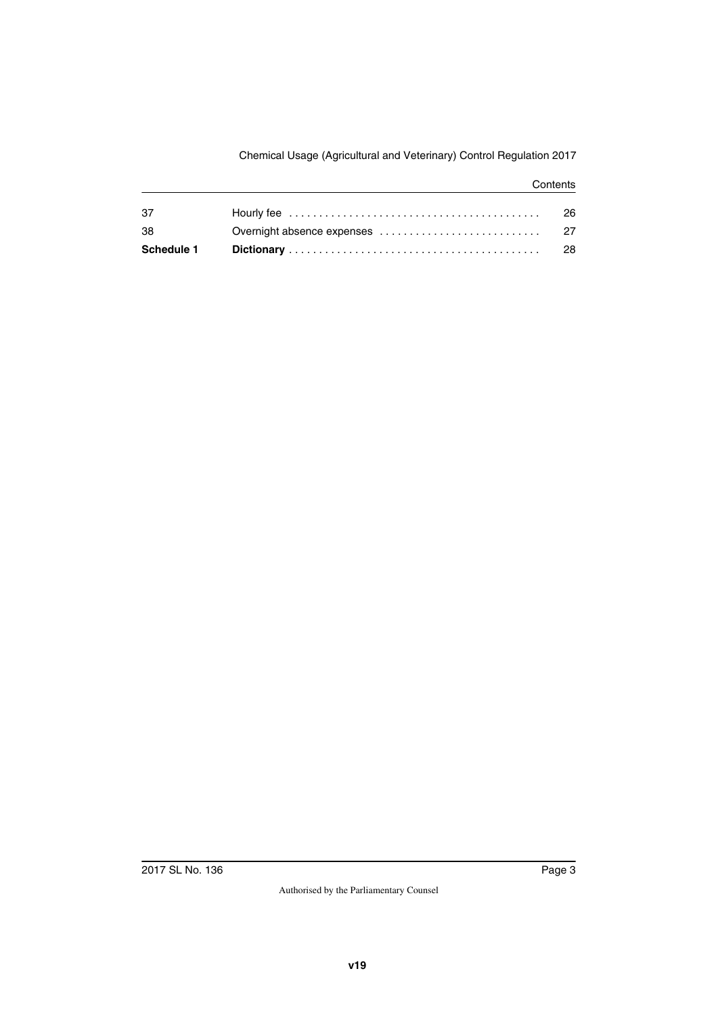#### **Contents**

| 26                                                                                               |
|--------------------------------------------------------------------------------------------------|
| Hourly fee $\ldots \ldots \ldots \ldots \ldots \ldots \ldots \ldots \ldots \ldots \ldots \ldots$ |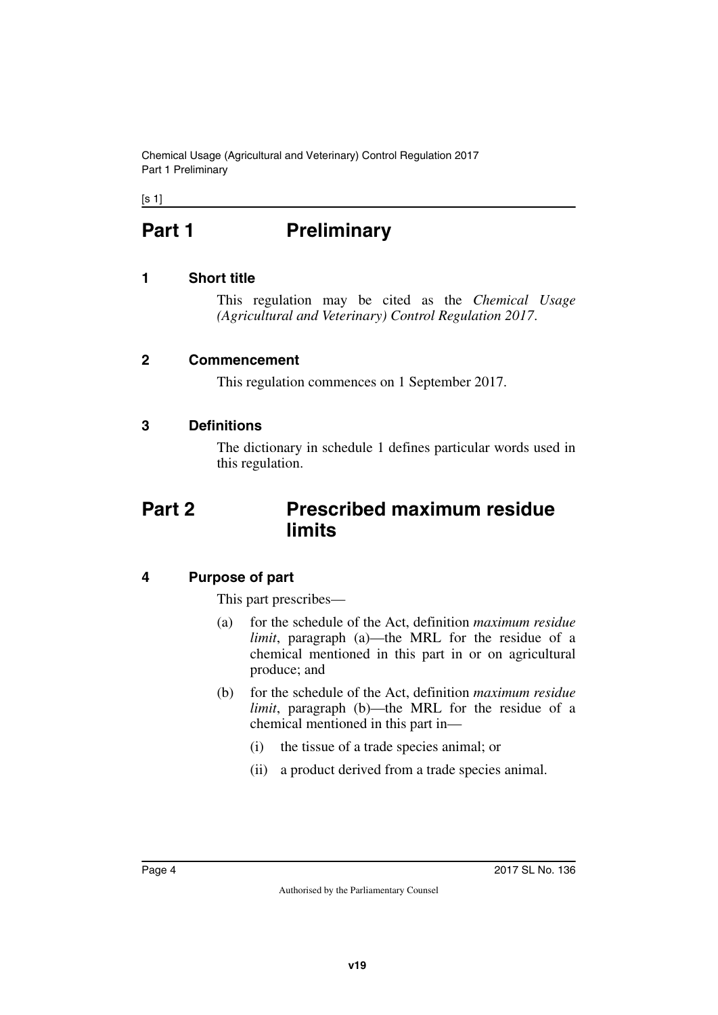Chemical Usage (Agricultural and Veterinary) Control Regulation 2017 Part 1 Preliminary

<span id="page-3-0"></span> $[s 1]$ 

# **Part 1** Preliminary

### <span id="page-3-2"></span>**1 Short title**

<span id="page-3-3"></span><span id="page-3-1"></span>This regulation may be cited as the *Chemical Usage (Agricultural and Veterinary) Control Regulation 2017*.

#### <span id="page-3-4"></span>**2 Commencement**

<span id="page-3-7"></span><span id="page-3-5"></span>This regulation commences on 1 September 2017.

### <span id="page-3-6"></span>**3 Definitions**

<span id="page-3-9"></span>The dictionary in schedule 1 defines particular words used in this regulation.

# <span id="page-3-8"></span>**Part 2 Prescribed maximum residue limits**

### <span id="page-3-10"></span>**4 Purpose of part**

<span id="page-3-11"></span>This part prescribes—

- (a) for the schedule of the Act, definition *maximum residue limit*, paragraph (a)—the MRL for the residue of a chemical mentioned in this part in or on agricultural produce; and
- (b) for the schedule of the Act, definition *maximum residue limit*, paragraph (b)—the MRL for the residue of a chemical mentioned in this part in—
	- (i) the tissue of a trade species animal; or
	- (ii) a product derived from a trade species animal.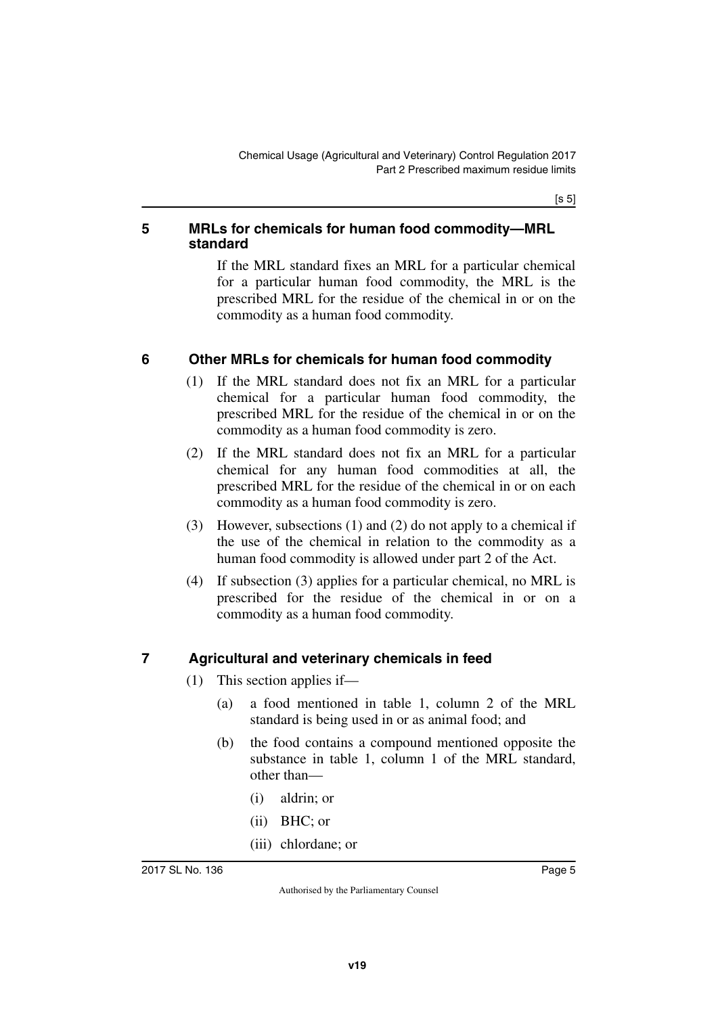$[s 5]$ 

#### <span id="page-4-1"></span><span id="page-4-0"></span>**5 MRLs for chemicals for human food commodity—MRL standard**

If the MRL standard fixes an MRL for a particular chemical for a particular human food commodity, the MRL is the prescribed MRL for the residue of the chemical in or on the commodity as a human food commodity.

### <span id="page-4-2"></span>**6 Other MRLs for chemicals for human food commodity**

- <span id="page-4-3"></span>(1) If the MRL standard does not fix an MRL for a particular chemical for a particular human food commodity, the prescribed MRL for the residue of the chemical in or on the commodity as a human food commodity is zero.
- (2) If the MRL standard does not fix an MRL for a particular chemical for any human food commodities at all, the prescribed MRL for the residue of the chemical in or on each commodity as a human food commodity is zero.
- (3) However, subsections (1) and (2) do not apply to a chemical if the use of the chemical in relation to the commodity as a human food commodity is allowed under part 2 of the Act.
- (4) If subsection (3) applies for a particular chemical, no MRL is prescribed for the residue of the chemical in or on a commodity as a human food commodity.

#### <span id="page-4-4"></span>**7 Agricultural and veterinary chemicals in feed**

- <span id="page-4-5"></span>(1) This section applies if—
	- (a) a food mentioned in table 1, column 2 of the MRL standard is being used in or as animal food; and
	- (b) the food contains a compound mentioned opposite the substance in table 1, column 1 of the MRL standard, other than—
		- (i) aldrin; or
		- (ii) BHC; or
		- (iii) chlordane; or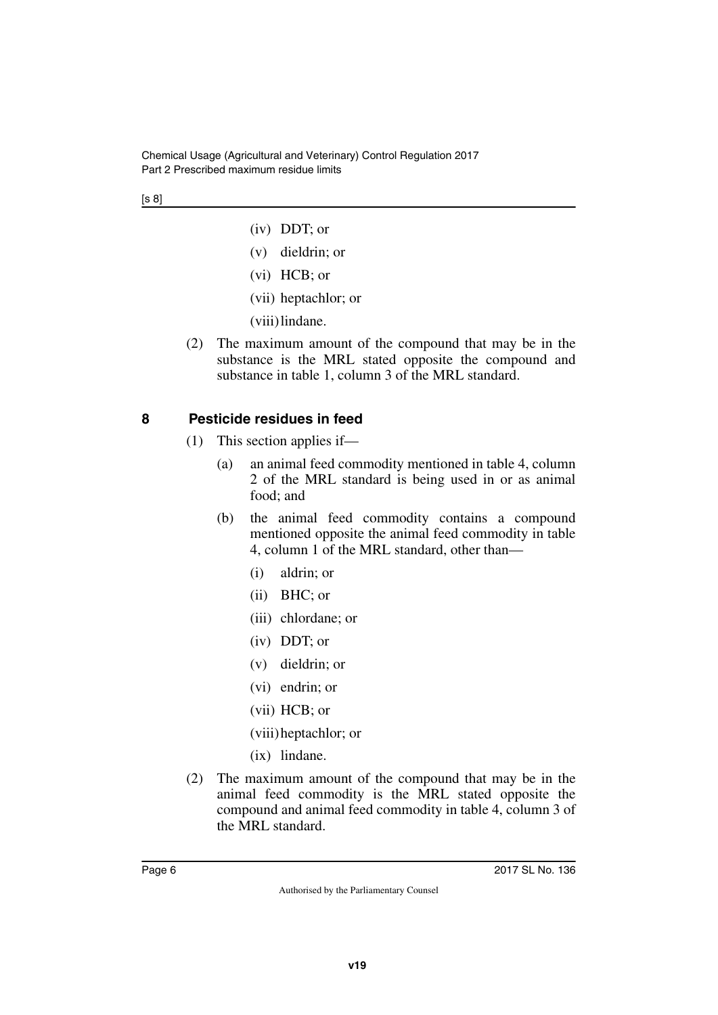Chemical Usage (Agricultural and Veterinary) Control Regulation 2017 Part 2 Prescribed maximum residue limits

#### [s 8]

- (iv) DDT; or
- (v) dieldrin; or
- (vi) HCB; or
- (vii) heptachlor; or
- (viii)lindane.
- (2) The maximum amount of the compound that may be in the substance is the MRL stated opposite the compound and substance in table 1, column 3 of the MRL standard.

#### <span id="page-5-0"></span>**8 Pesticide residues in feed**

- <span id="page-5-1"></span>(1) This section applies if—
	- (a) an animal feed commodity mentioned in table 4, column 2 of the MRL standard is being used in or as animal food; and
	- (b) the animal feed commodity contains a compound mentioned opposite the animal feed commodity in table 4, column 1 of the MRL standard, other than—
		- (i) aldrin; or
		- (ii) BHC; or
		- (iii) chlordane; or
		- (iv) DDT; or
		- (v) dieldrin; or
		- (vi) endrin; or
		- (vii) HCB; or
		- (viii)heptachlor; or
		- (ix) lindane.
- (2) The maximum amount of the compound that may be in the animal feed commodity is the MRL stated opposite the compound and animal feed commodity in table 4, column 3 of the MRL standard.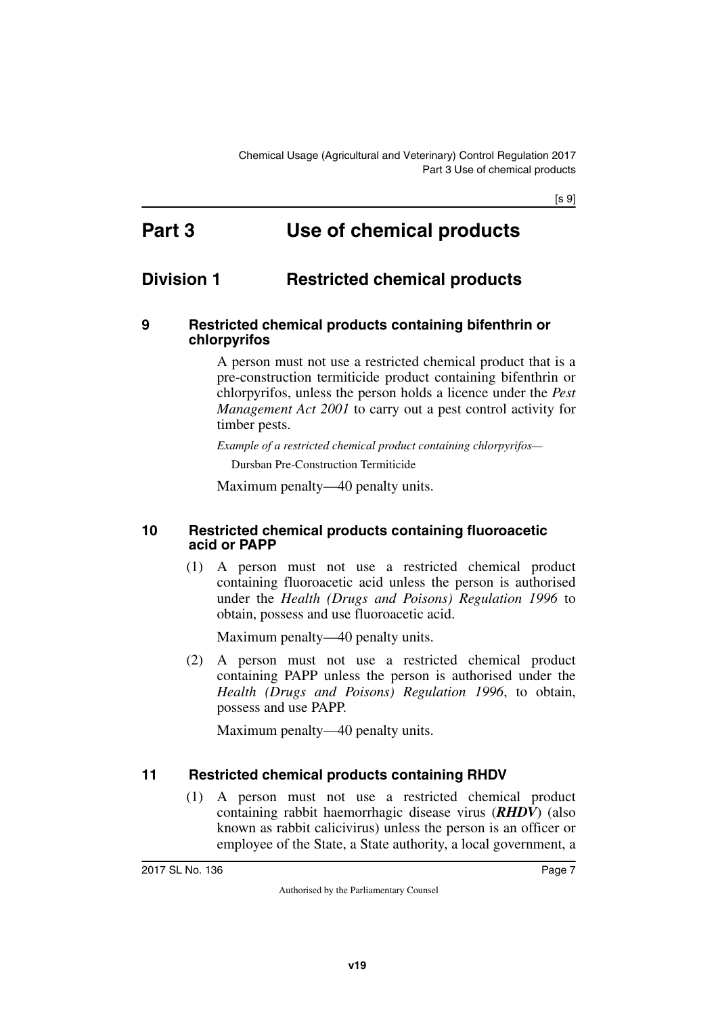[s 9]

# <span id="page-6-1"></span><span id="page-6-0"></span>**Part 3 Use of chemical products**

# <span id="page-6-2"></span>**Division 1 Restricted chemical products**

#### <span id="page-6-5"></span><span id="page-6-4"></span>**9 Restricted chemical products containing bifenthrin or chlorpyrifos**

<span id="page-6-3"></span>A person must not use a restricted chemical product that is a pre-construction termiticide product containing bifenthrin or chlorpyrifos, unless the person holds a licence under the *Pest Management Act 2001* to carry out a pest control activity for timber pests.

*Example of a restricted chemical product containing chlorpyrifos—*

Dursban Pre-Construction Termiticide

<span id="page-6-7"></span>Maximum penalty—40 penalty units.

#### <span id="page-6-6"></span>**10 Restricted chemical products containing fluoroacetic acid or PAPP**

(1) A person must not use a restricted chemical product containing fluoroacetic acid unless the person is authorised under the *Health (Drugs and Poisons) Regulation 1996* to obtain, possess and use fluoroacetic acid.

Maximum penalty—40 penalty units.

(2) A person must not use a restricted chemical product containing PAPP unless the person is authorised under the *Health (Drugs and Poisons) Regulation 1996*, to obtain, possess and use PAPP.

Maximum penalty—40 penalty units.

#### <span id="page-6-8"></span>**11 Restricted chemical products containing RHDV**

<span id="page-6-9"></span>(1) A person must not use a restricted chemical product containing rabbit haemorrhagic disease virus (*RHDV*) (also known as rabbit calicivirus) unless the person is an officer or employee of the State, a State authority, a local government, a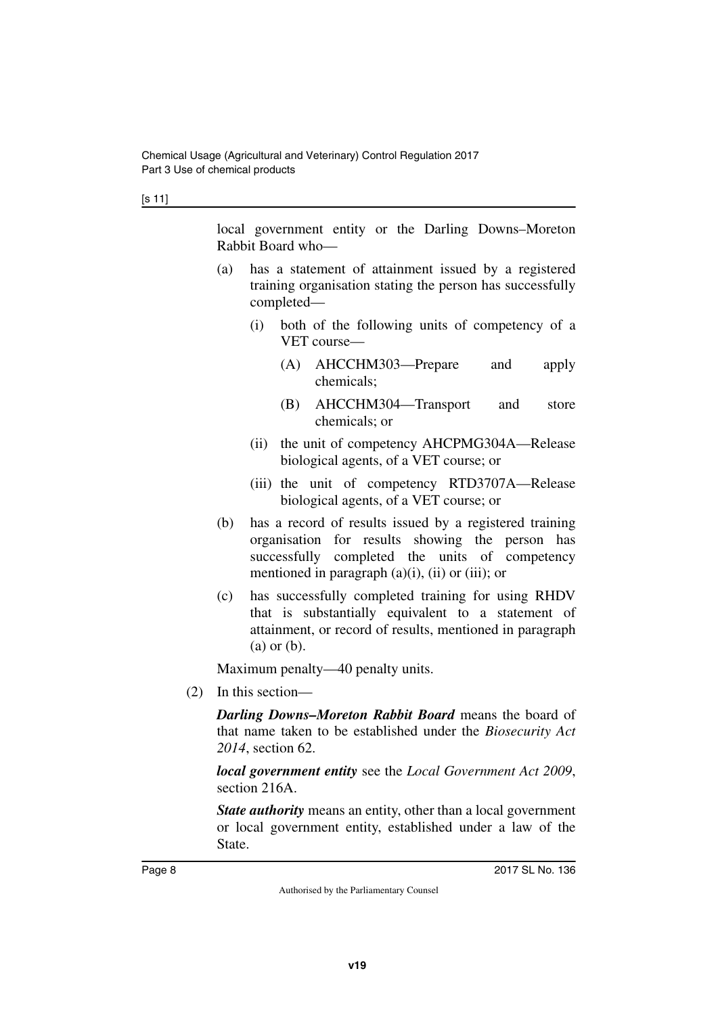[s 11]

local government entity or the Darling Downs–Moreton Rabbit Board who—

- (a) has a statement of attainment issued by a registered training organisation stating the person has successfully completed—
	- (i) both of the following units of competency of a VET course—
		- (A) AHCCHM303—Prepare and apply chemicals;
		- (B) AHCCHM304—Transport and store chemicals; or
	- (ii) the unit of competency AHCPMG304A—Release biological agents, of a VET course; or
	- (iii) the unit of competency RTD3707A—Release biological agents, of a VET course; or
- (b) has a record of results issued by a registered training organisation for results showing the person has successfully completed the units of competency mentioned in paragraph  $(a)(i)$ ,  $(ii)$  or  $(iii)$ ; or
- (c) has successfully completed training for using RHDV that is substantially equivalent to a statement of attainment, or record of results, mentioned in paragraph (a) or (b).

Maximum penalty—40 penalty units.

(2) In this section—

*Darling Downs–Moreton Rabbit Board* means the board of that name taken to be established under the *Biosecurity Act 2014*, section 62.

*local government entity* see the *Local Government Act 2009*, section 216A.

*State authority* means an entity, other than a local government or local government entity, established under a law of the State.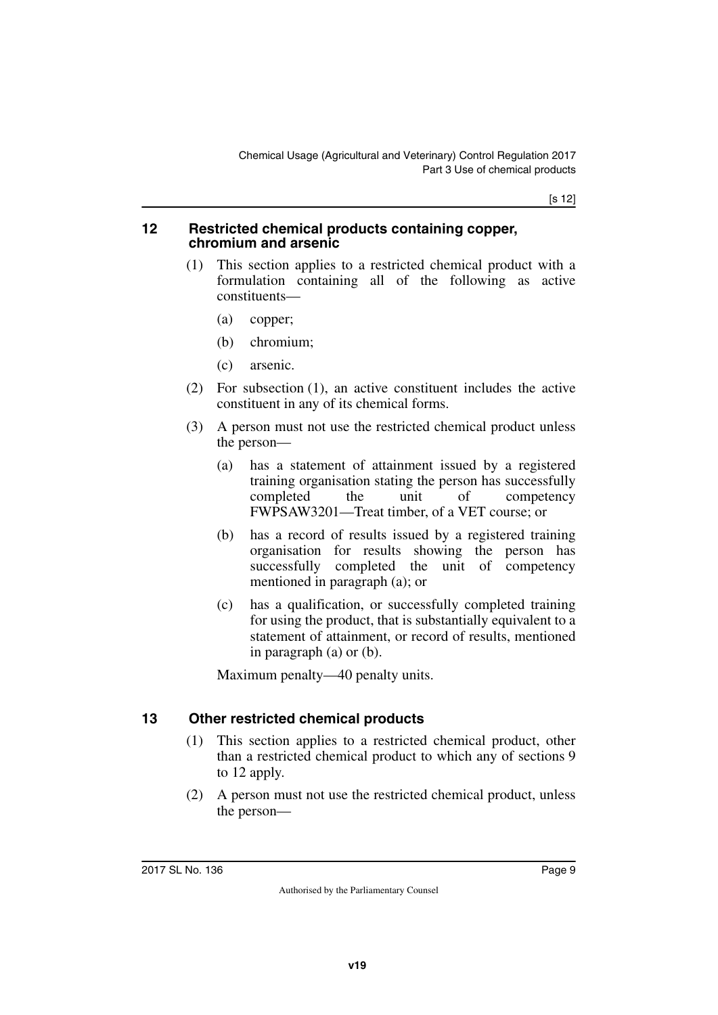[s 12]

#### <span id="page-8-1"></span><span id="page-8-0"></span>**12 Restricted chemical products containing copper, chromium and arsenic**

- (1) This section applies to a restricted chemical product with a formulation containing all of the following as active constituents—
	- (a) copper;
	- (b) chromium;
	- (c) arsenic.
- (2) For subsection (1), an active constituent includes the active constituent in any of its chemical forms.
- (3) A person must not use the restricted chemical product unless the person—
	- (a) has a statement of attainment issued by a registered training organisation stating the person has successfully completed the unit of competency FWPSAW3201—Treat timber, of a VET course; or
	- (b) has a record of results issued by a registered training organisation for results showing the person has successfully completed the unit of competency mentioned in paragraph (a); or
	- (c) has a qualification, or successfully completed training for using the product, that is substantially equivalent to a statement of attainment, or record of results, mentioned in paragraph (a) or (b).

Maximum penalty—40 penalty units.

### <span id="page-8-2"></span>**13 Other restricted chemical products**

- <span id="page-8-3"></span>(1) This section applies to a restricted chemical product, other than a restricted chemical product to which any of sections 9 to 12 apply.
- (2) A person must not use the restricted chemical product, unless the person—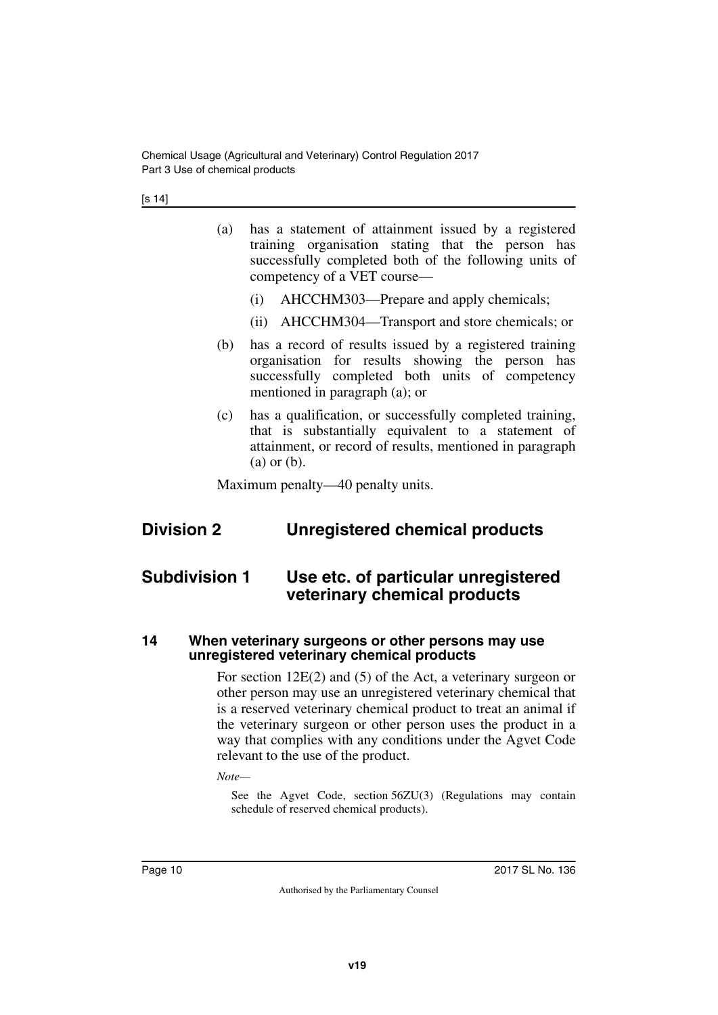Chemical Usage (Agricultural and Veterinary) Control Regulation 2017 Part 3 Use of chemical products

[s 14]

- (a) has a statement of attainment issued by a registered training organisation stating that the person has successfully completed both of the following units of competency of a VET course—
	- (i) AHCCHM303—Prepare and apply chemicals;
	- (ii) AHCCHM304—Transport and store chemicals; or
- (b) has a record of results issued by a registered training organisation for results showing the person has successfully completed both units of competency mentioned in paragraph (a); or
- (c) has a qualification, or successfully completed training, that is substantially equivalent to a statement of attainment, or record of results, mentioned in paragraph (a) or (b).

<span id="page-9-3"></span><span id="page-9-1"></span>Maximum penalty—40 penalty units.

# <span id="page-9-0"></span>**Division 2 Unregistered chemical products**

## <span id="page-9-2"></span>**Subdivision 1 Use etc. of particular unregistered veterinary chemical products**

#### <span id="page-9-5"></span><span id="page-9-4"></span>**14 When veterinary surgeons or other persons may use unregistered veterinary chemical products**

For section 12E(2) and (5) of the Act, a veterinary surgeon or other person may use an unregistered veterinary chemical that is a reserved veterinary chemical product to treat an animal if the veterinary surgeon or other person uses the product in a way that complies with any conditions under the Agvet Code relevant to the use of the product.

*Note—*

See the Agvet Code, section 56ZU(3) (Regulations may contain schedule of reserved chemical products).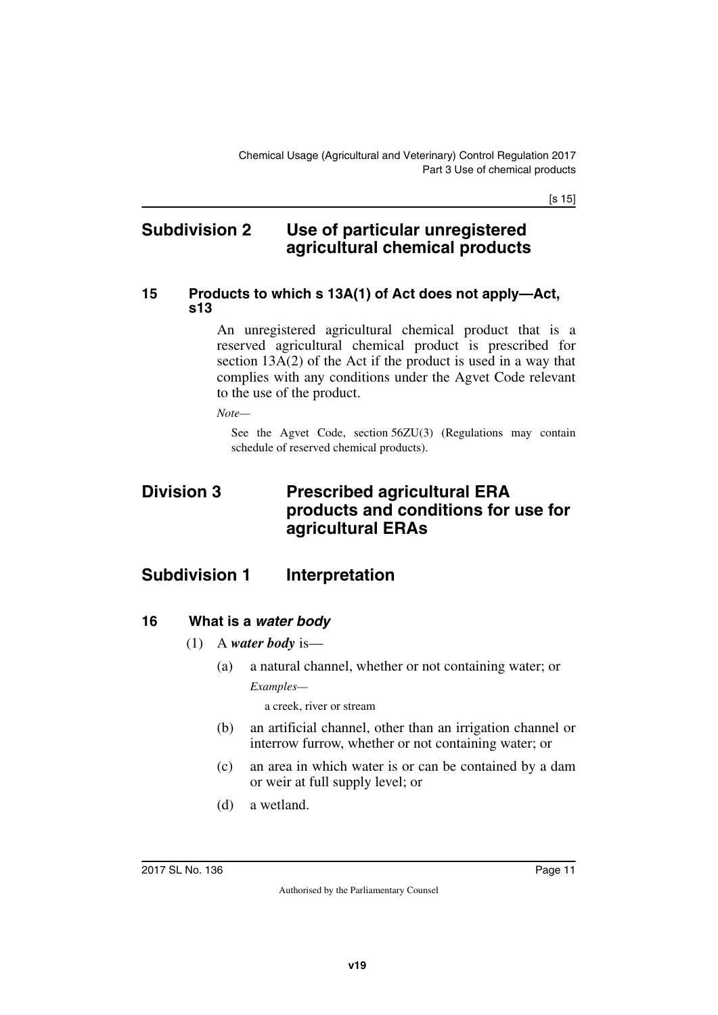[s 15]

### <span id="page-10-0"></span>**Subdivision 2 Use of particular unregistered agricultural chemical products**

#### <span id="page-10-3"></span><span id="page-10-2"></span>**15 Products to which s 13A(1) of Act does not apply—Act, s13**

<span id="page-10-1"></span>An unregistered agricultural chemical product that is a reserved agricultural chemical product is prescribed for section 13A(2) of the Act if the product is used in a way that complies with any conditions under the Agvet Code relevant to the use of the product.

*Note—*

<span id="page-10-5"></span>See the Agvet Code, section 56ZU(3) (Regulations may contain schedule of reserved chemical products).

## <span id="page-10-4"></span>**Division 3 Prescribed agricultural ERA products and conditions for use for agricultural ERAs**

## <span id="page-10-6"></span>**Subdivision 1 Interpretation**

#### <span id="page-10-8"></span>**16 What is a** *water body*

- <span id="page-10-9"></span><span id="page-10-7"></span>(1) A *water body* is—
	- (a) a natural channel, whether or not containing water; or *Examples—*

a creek, river or stream

- (b) an artificial channel, other than an irrigation channel or interrow furrow, whether or not containing water; or
- (c) an area in which water is or can be contained by a dam or weir at full supply level; or
- (d) a wetland.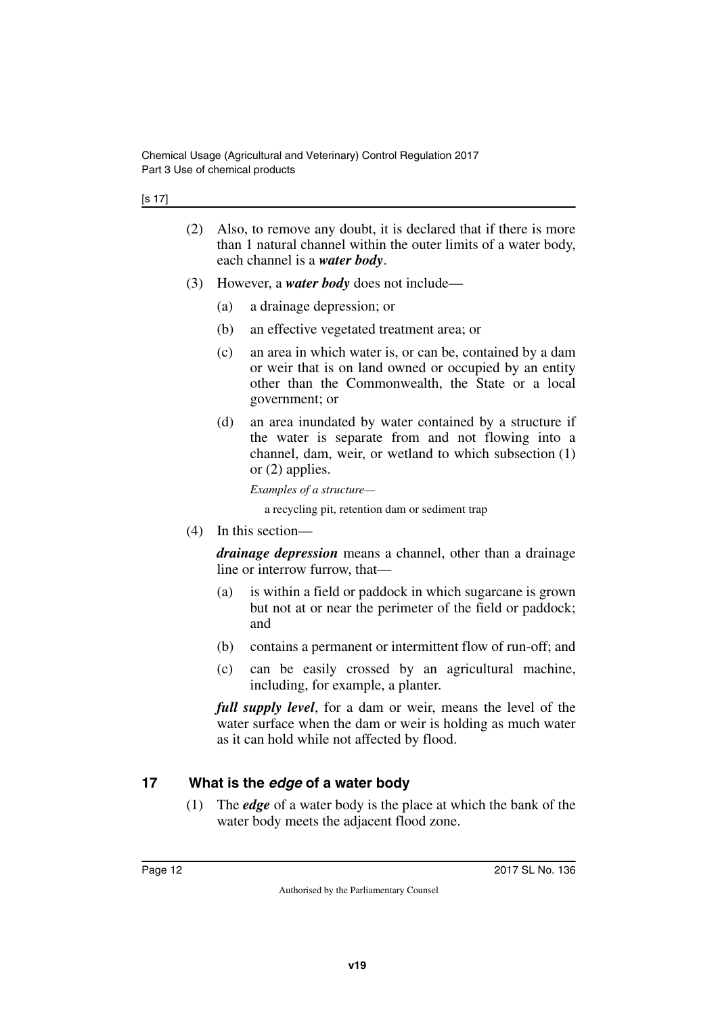[s 17]

- (2) Also, to remove any doubt, it is declared that if there is more than 1 natural channel within the outer limits of a water body, each channel is a *water body*.
- (3) However, a *water body* does not include—
	- (a) a drainage depression; or
	- (b) an effective vegetated treatment area; or
	- (c) an area in which water is, or can be, contained by a dam or weir that is on land owned or occupied by an entity other than the Commonwealth, the State or a local government; or
	- (d) an area inundated by water contained by a structure if the water is separate from and not flowing into a channel, dam, weir, or wetland to which subsection (1) or (2) applies.

*Examples of a structure—*

a recycling pit, retention dam or sediment trap

(4) In this section—

*drainage depression* means a channel, other than a drainage line or interrow furrow, that—

- (a) is within a field or paddock in which sugarcane is grown but not at or near the perimeter of the field or paddock; and
- (b) contains a permanent or intermittent flow of run-off; and
- (c) can be easily crossed by an agricultural machine, including, for example, a planter.

*full supply level*, for a dam or weir, means the level of the water surface when the dam or weir is holding as much water as it can hold while not affected by flood.

#### <span id="page-11-0"></span>**17 What is the** *edge* **of a water body**

<span id="page-11-1"></span>(1) The *edge* of a water body is the place at which the bank of the water body meets the adjacent flood zone.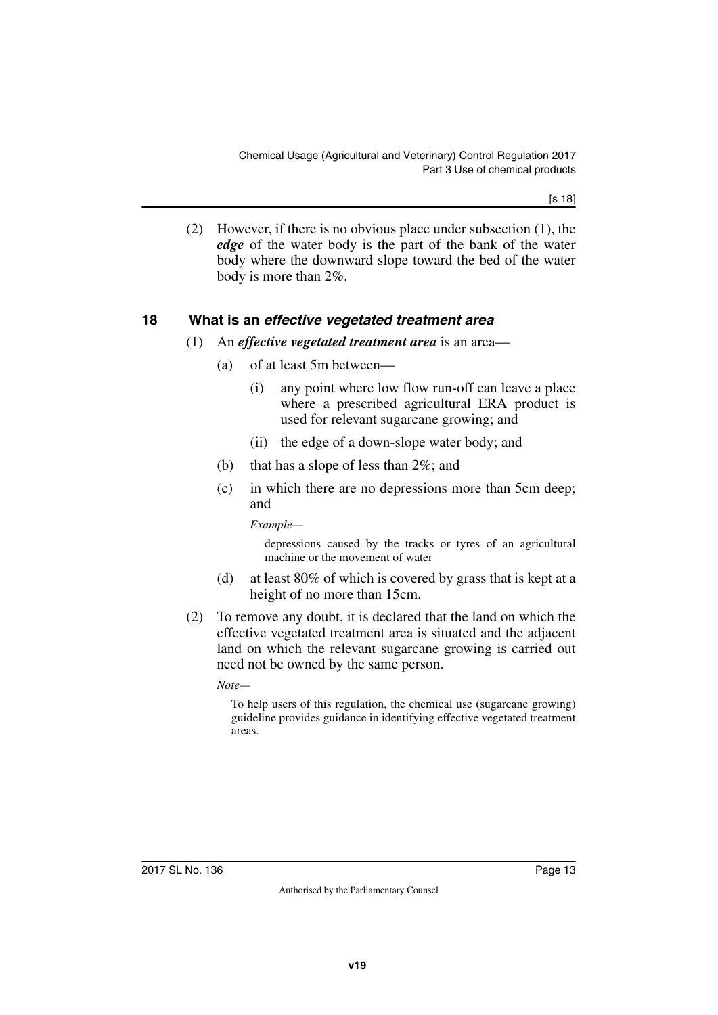Chemical Usage (Agricultural and Veterinary) Control Regulation 2017 Part 3 Use of chemical products

[s 18]

(2) However, if there is no obvious place under subsection (1), the *edge* of the water body is the part of the bank of the water body where the downward slope toward the bed of the water body is more than 2%.

#### <span id="page-12-0"></span>**18 What is an** *effective vegetated treatment area*

- <span id="page-12-1"></span>(1) An *effective vegetated treatment area* is an area—
	- (a) of at least 5m between—
		- (i) any point where low flow run-off can leave a place where a prescribed agricultural ERA product is used for relevant sugarcane growing; and
		- (ii) the edge of a down-slope water body; and
	- (b) that has a slope of less than 2%; and
	- (c) in which there are no depressions more than 5cm deep; and

*Example—*

depressions caused by the tracks or tyres of an agricultural machine or the movement of water

- (d) at least 80% of which is covered by grass that is kept at a height of no more than 15cm.
- (2) To remove any doubt, it is declared that the land on which the effective vegetated treatment area is situated and the adjacent land on which the relevant sugarcane growing is carried out need not be owned by the same person.

*Note—*

To help users of this regulation, the chemical use (sugarcane growing) guideline provides guidance in identifying effective vegetated treatment areas.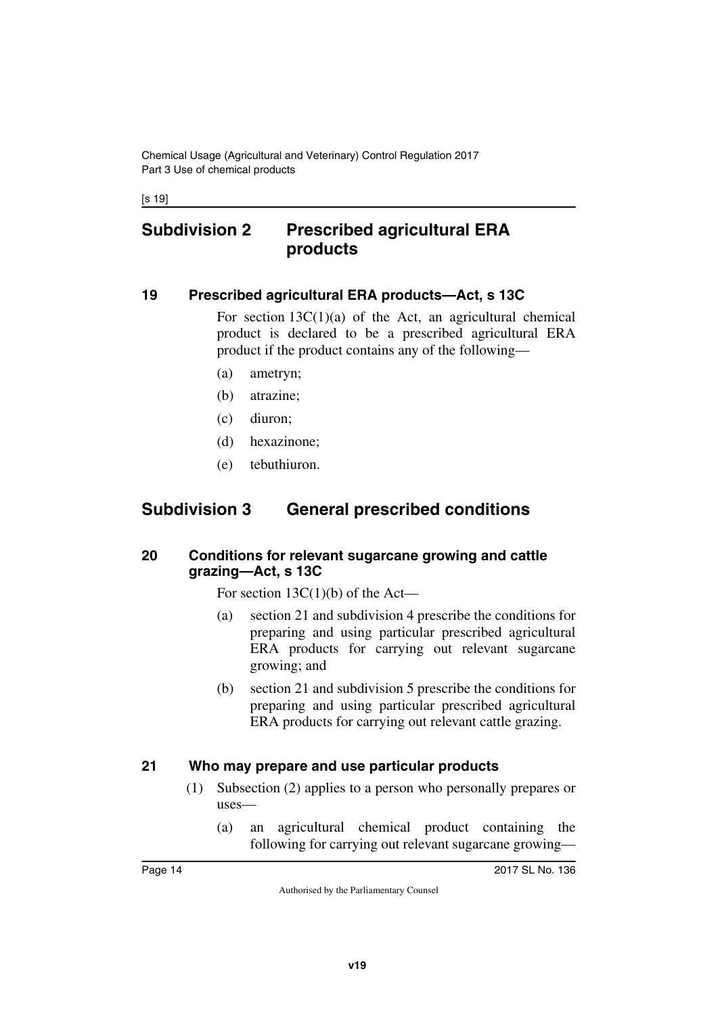Chemical Usage (Agricultural and Veterinary) Control Regulation 2017 Part 3 Use of chemical products

[s 19]

## <span id="page-13-0"></span>**Subdivision 2 Prescribed agricultural ERA products**

#### <span id="page-13-2"></span>**19 Prescribed agricultural ERA products—Act, s 13C**

<span id="page-13-3"></span><span id="page-13-1"></span>For section  $13C(1)(a)$  of the Act, an agricultural chemical product is declared to be a prescribed agricultural ERA product if the product contains any of the following—

- (a) ametryn;
- (b) atrazine;
- (c) diuron;
- (d) hexazinone;
- <span id="page-13-5"></span>(e) tebuthiuron.

## <span id="page-13-4"></span>**Subdivision 3 General prescribed conditions**

#### <span id="page-13-7"></span><span id="page-13-6"></span>**20 Conditions for relevant sugarcane growing and cattle grazing—Act, s 13C**

For section  $13C(1)(b)$  of the Act—

- (a) section 21 and subdivision 4 prescribe the conditions for preparing and using particular prescribed agricultural ERA products for carrying out relevant sugarcane growing; and
- (b) section 21 and subdivision 5 prescribe the conditions for preparing and using particular prescribed agricultural ERA products for carrying out relevant cattle grazing.

#### <span id="page-13-8"></span>**21 Who may prepare and use particular products**

- <span id="page-13-9"></span>(1) Subsection (2) applies to a person who personally prepares or uses—
	- (a) an agricultural chemical product containing the following for carrying out relevant sugarcane growing—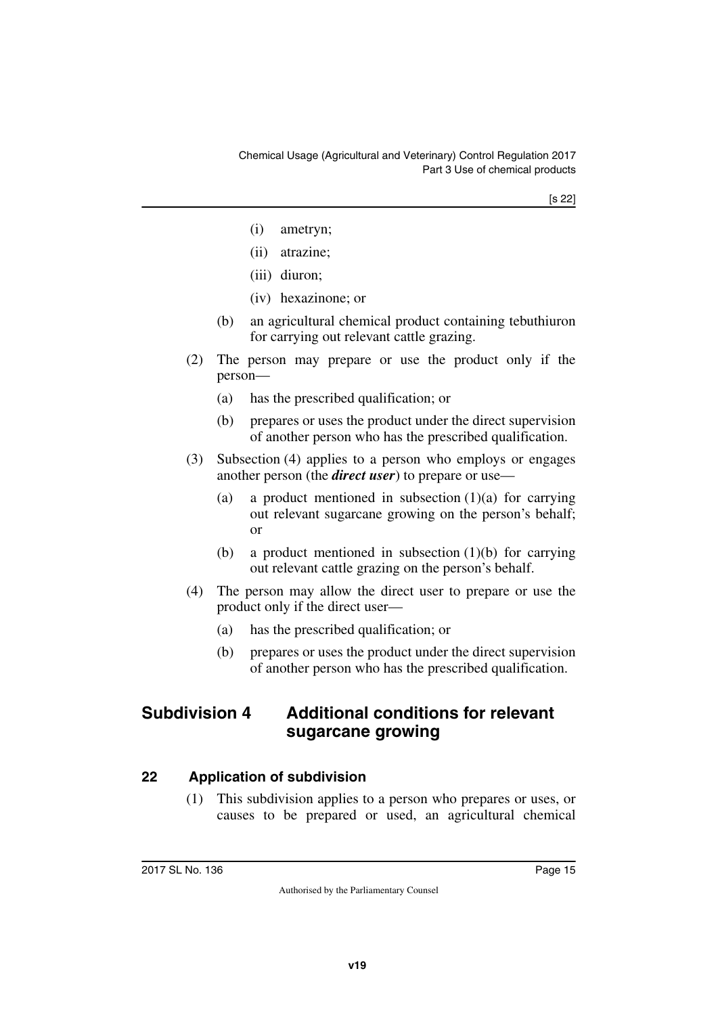- (i) ametryn;
- (ii) atrazine;
- (iii) diuron;
- (iv) hexazinone; or
- (b) an agricultural chemical product containing tebuthiuron for carrying out relevant cattle grazing.
- (2) The person may prepare or use the product only if the person—
	- (a) has the prescribed qualification; or
	- (b) prepares or uses the product under the direct supervision of another person who has the prescribed qualification.
- (3) Subsection (4) applies to a person who employs or engages another person (the *direct user*) to prepare or use—
	- (a) a product mentioned in subsection  $(1)(a)$  for carrying out relevant sugarcane growing on the person's behalf; or
	- (b) a product mentioned in subsection (1)(b) for carrying out relevant cattle grazing on the person's behalf.
- (4) The person may allow the direct user to prepare or use the product only if the direct user—
	- (a) has the prescribed qualification; or
	- (b) prepares or uses the product under the direct supervision of another person who has the prescribed qualification.

## <span id="page-14-0"></span>**Subdivision 4 Additional conditions for relevant sugarcane growing**

#### <span id="page-14-2"></span>**22 Application of subdivision**

<span id="page-14-3"></span><span id="page-14-1"></span>(1) This subdivision applies to a person who prepares or uses, or causes to be prepared or used, an agricultural chemical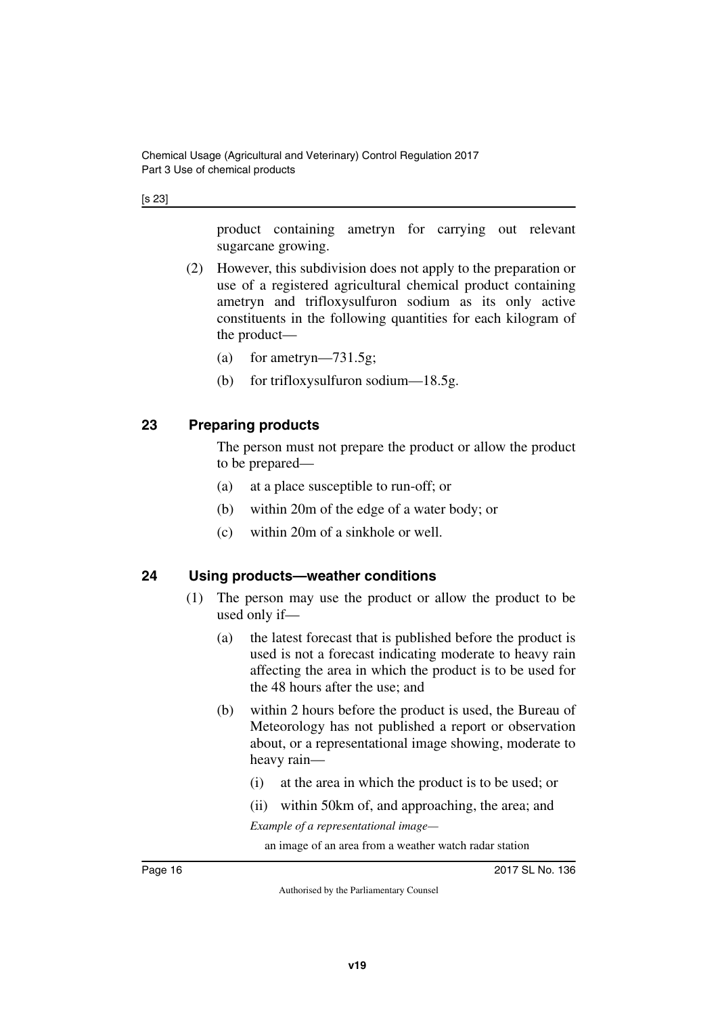[s 23]

product containing ametryn for carrying out relevant sugarcane growing.

- (2) However, this subdivision does not apply to the preparation or use of a registered agricultural chemical product containing ametryn and trifloxysulfuron sodium as its only active constituents in the following quantities for each kilogram of the product—
	- (a) for ametryn—731.5g;
	- (b) for trifloxysulfuron sodium—18.5g.

### <span id="page-15-0"></span>**23 Preparing products**

<span id="page-15-1"></span>The person must not prepare the product or allow the product to be prepared—

- (a) at a place susceptible to run-off; or
- (b) within 20m of the edge of a water body; or
- (c) within 20m of a sinkhole or well.

#### <span id="page-15-2"></span>**24 Using products—weather conditions**

- <span id="page-15-3"></span>(1) The person may use the product or allow the product to be used only if—
	- (a) the latest forecast that is published before the product is used is not a forecast indicating moderate to heavy rain affecting the area in which the product is to be used for the 48 hours after the use; and
	- (b) within 2 hours before the product is used, the Bureau of Meteorology has not published a report or observation about, or a representational image showing, moderate to heavy rain—
		- (i) at the area in which the product is to be used; or
		- (ii) within 50km of, and approaching, the area; and

*Example of a representational image—*

an image of an area from a weather watch radar station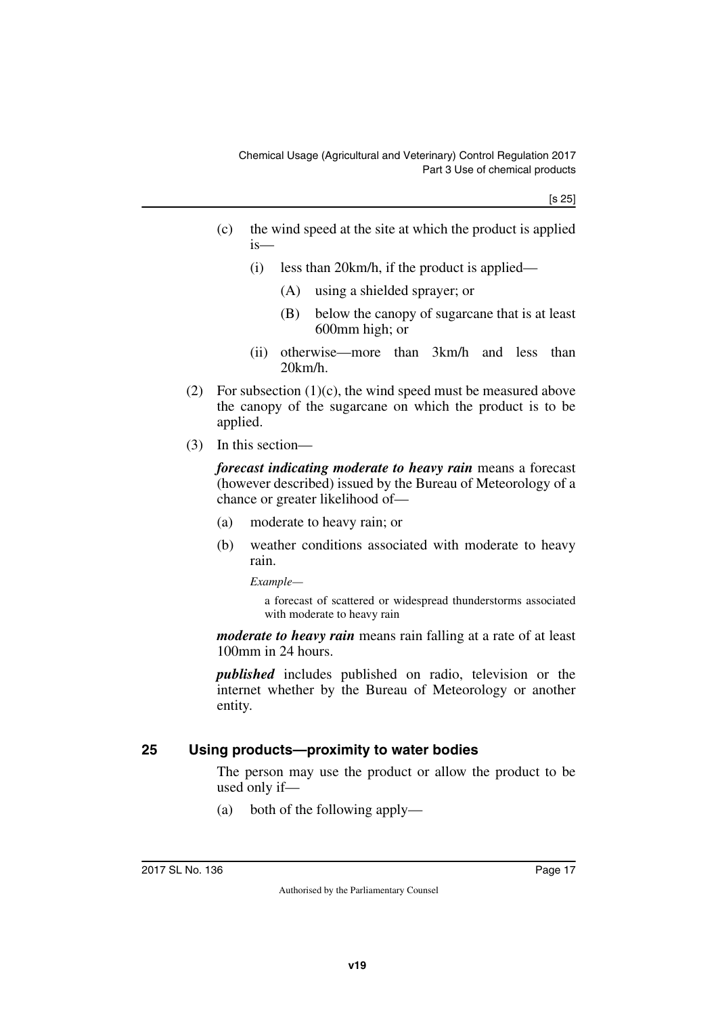- (c) the wind speed at the site at which the product is applied is—
	- (i) less than 20km/h, if the product is applied—
		- (A) using a shielded sprayer; or
		- (B) below the canopy of sugarcane that is at least 600mm high; or
	- (ii) otherwise—more than 3km/h and less than 20km/h.
- (2) For subsection  $(1)(c)$ , the wind speed must be measured above the canopy of the sugarcane on which the product is to be applied.
- (3) In this section—

*forecast indicating moderate to heavy rain* means a forecast (however described) issued by the Bureau of Meteorology of a chance or greater likelihood of—

- (a) moderate to heavy rain; or
- (b) weather conditions associated with moderate to heavy rain.

*Example—*

a forecast of scattered or widespread thunderstorms associated with moderate to heavy rain

*moderate to heavy rain* means rain falling at a rate of at least 100mm in 24 hours.

*published* includes published on radio, television or the internet whether by the Bureau of Meteorology or another entity.

#### <span id="page-16-0"></span>**25 Using products—proximity to water bodies**

<span id="page-16-1"></span>The person may use the product or allow the product to be used only if—

(a) both of the following apply—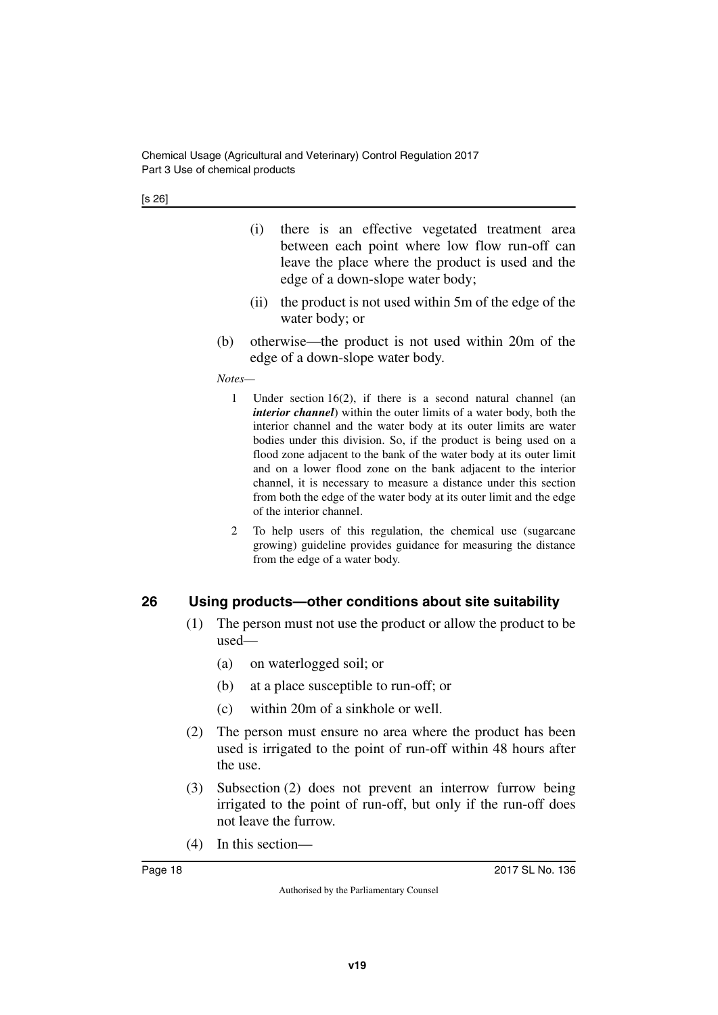[s 26]

- (i) there is an effective vegetated treatment area between each point where low flow run-off can leave the place where the product is used and the edge of a down-slope water body;
- (ii) the product is not used within 5m of the edge of the water body; or
- (b) otherwise—the product is not used within 20m of the edge of a down-slope water body.

#### *Notes—*

- 1 Under section 16(2), if there is a second natural channel (an *interior channel*) within the outer limits of a water body, both the interior channel and the water body at its outer limits are water bodies under this division. So, if the product is being used on a flood zone adjacent to the bank of the water body at its outer limit and on a lower flood zone on the bank adjacent to the interior channel, it is necessary to measure a distance under this section from both the edge of the water body at its outer limit and the edge of the interior channel.
- 2 To help users of this regulation, the chemical use (sugarcane growing) guideline provides guidance for measuring the distance from the edge of a water body.

### <span id="page-17-0"></span>**26 Using products—other conditions about site suitability**

- <span id="page-17-1"></span>(1) The person must not use the product or allow the product to be used—
	- (a) on waterlogged soil; or
	- (b) at a place susceptible to run-off; or
	- (c) within 20m of a sinkhole or well.
- (2) The person must ensure no area where the product has been used is irrigated to the point of run-off within 48 hours after the use.
- (3) Subsection (2) does not prevent an interrow furrow being irrigated to the point of run-off, but only if the run-off does not leave the furrow.
- (4) In this section—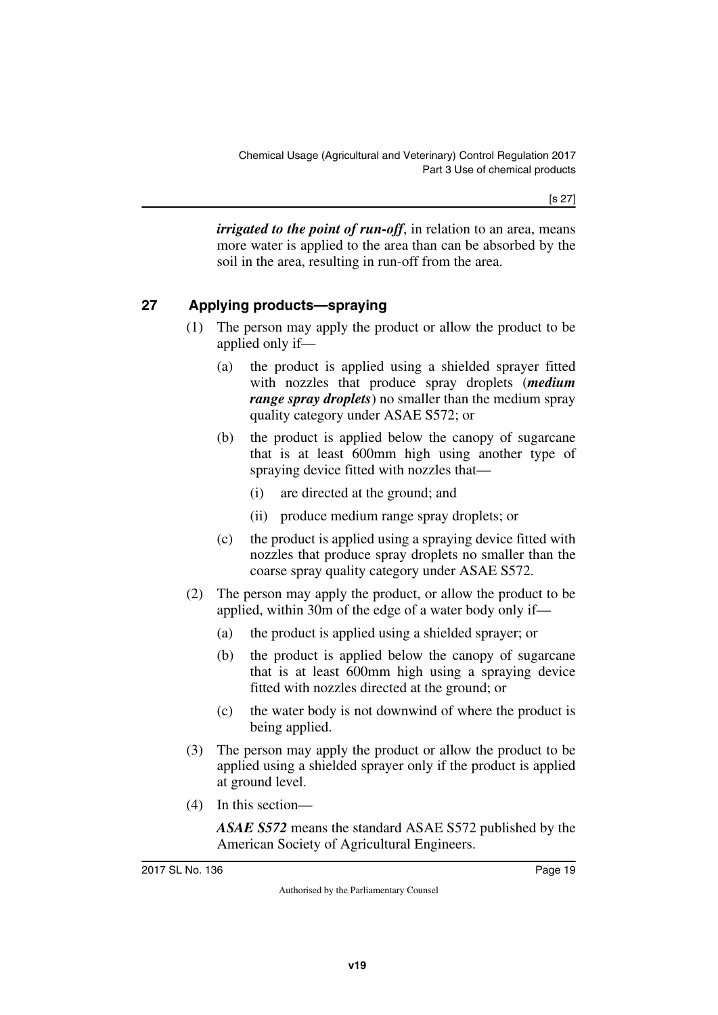*irrigated to the point of run-off*, in relation to an area, means more water is applied to the area than can be absorbed by the soil in the area, resulting in run-off from the area.

### <span id="page-18-0"></span>**27 Applying products—spraying**

- <span id="page-18-1"></span>(1) The person may apply the product or allow the product to be applied only if—
	- (a) the product is applied using a shielded sprayer fitted with nozzles that produce spray droplets (*medium range spray droplets*) no smaller than the medium spray quality category under ASAE S572; or
	- (b) the product is applied below the canopy of sugarcane that is at least 600mm high using another type of spraying device fitted with nozzles that—
		- (i) are directed at the ground; and
		- (ii) produce medium range spray droplets; or
	- (c) the product is applied using a spraying device fitted with nozzles that produce spray droplets no smaller than the coarse spray quality category under ASAE S572.
- (2) The person may apply the product, or allow the product to be applied, within 30m of the edge of a water body only if—
	- (a) the product is applied using a shielded sprayer; or
	- (b) the product is applied below the canopy of sugarcane that is at least 600mm high using a spraying device fitted with nozzles directed at the ground; or
	- (c) the water body is not downwind of where the product is being applied.
- (3) The person may apply the product or allow the product to be applied using a shielded sprayer only if the product is applied at ground level.
- (4) In this section—

*ASAE S572* means the standard ASAE S572 published by the American Society of Agricultural Engineers.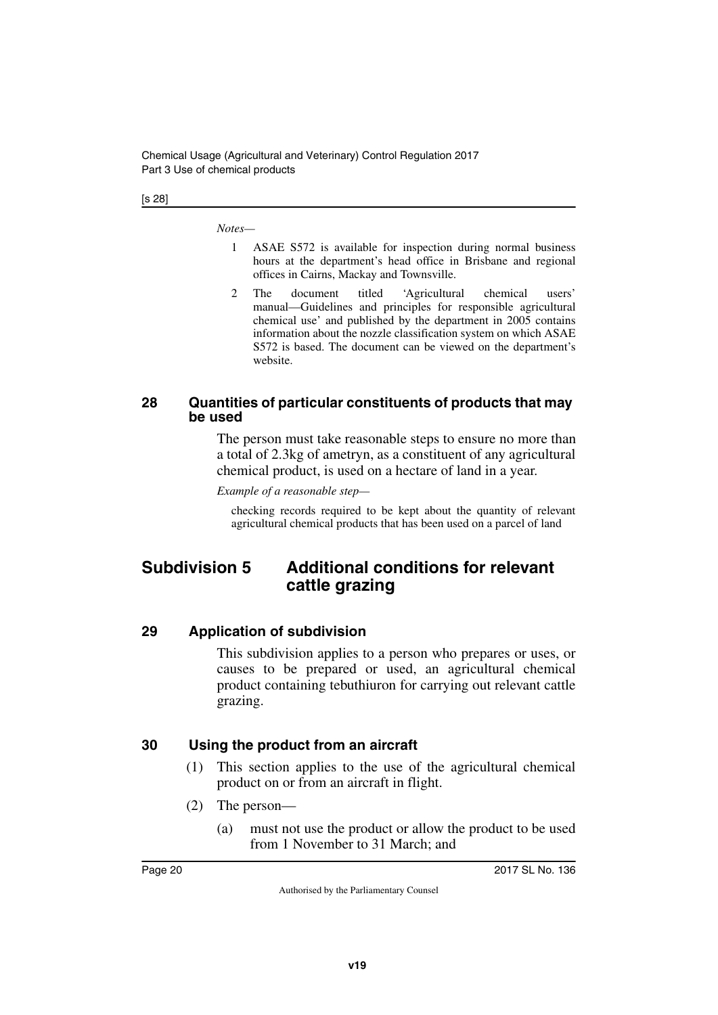Chemical Usage (Agricultural and Veterinary) Control Regulation 2017 Part 3 Use of chemical products

[s 28]

*Notes—*

- 1 ASAE S572 is available for inspection during normal business hours at the department's head office in Brisbane and regional offices in Cairns, Mackay and Townsville.
- 2 The document titled 'Agricultural chemical users' manual—Guidelines and principles for responsible agricultural chemical use' and published by the department in 2005 contains information about the nozzle classification system on which ASAE S572 is based. The document can be viewed on the department's website.

#### <span id="page-19-1"></span><span id="page-19-0"></span>**28 Quantities of particular constituents of products that may be used**

The person must take reasonable steps to ensure no more than a total of 2.3kg of ametryn, as a constituent of any agricultural chemical product, is used on a hectare of land in a year.

*Example of a reasonable step—*

<span id="page-19-3"></span>checking records required to be kept about the quantity of relevant agricultural chemical products that has been used on a parcel of land

# <span id="page-19-2"></span>**Subdivision 5 Additional conditions for relevant cattle grazing**

#### <span id="page-19-4"></span>**29 Application of subdivision**

<span id="page-19-5"></span>This subdivision applies to a person who prepares or uses, or causes to be prepared or used, an agricultural chemical product containing tebuthiuron for carrying out relevant cattle grazing.

#### <span id="page-19-6"></span>**30 Using the product from an aircraft**

- <span id="page-19-7"></span>(1) This section applies to the use of the agricultural chemical product on or from an aircraft in flight.
- (2) The person—
	- (a) must not use the product or allow the product to be used from 1 November to 31 March; and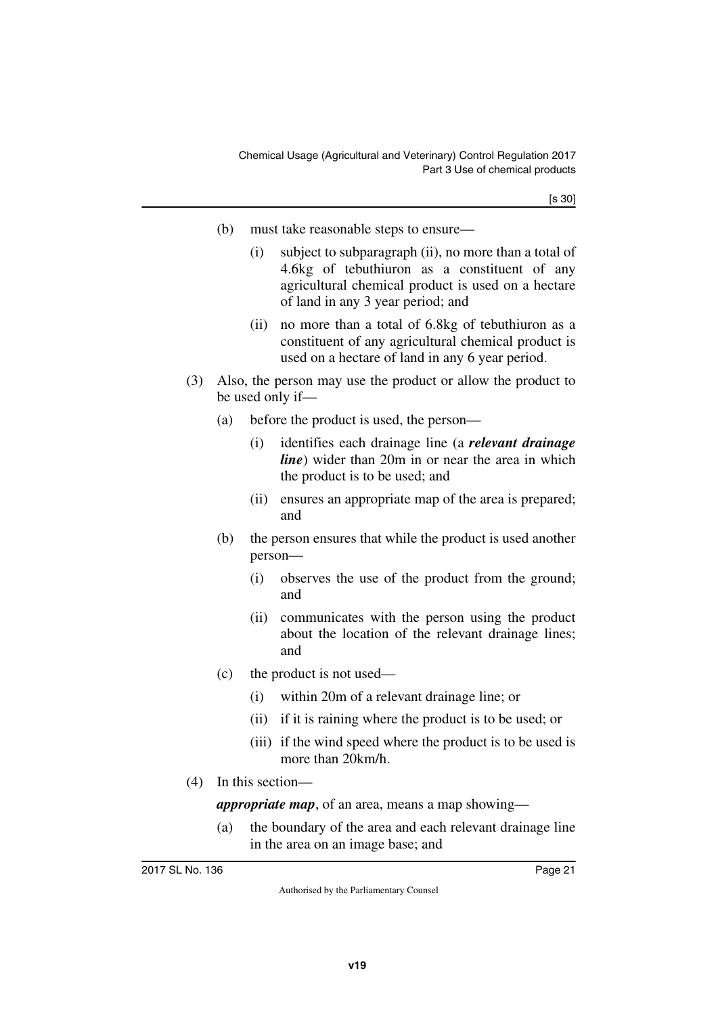[s 30]

- (b) must take reasonable steps to ensure—
	- (i) subject to subparagraph (ii), no more than a total of 4.6kg of tebuthiuron as a constituent of any agricultural chemical product is used on a hectare of land in any 3 year period; and
	- (ii) no more than a total of 6.8kg of tebuthiuron as a constituent of any agricultural chemical product is used on a hectare of land in any 6 year period.
- (3) Also, the person may use the product or allow the product to be used only if—
	- (a) before the product is used, the person—
		- (i) identifies each drainage line (a *relevant drainage line*) wider than 20m in or near the area in which the product is to be used; and
		- (ii) ensures an appropriate map of the area is prepared; and
	- (b) the person ensures that while the product is used another person—
		- (i) observes the use of the product from the ground; and
		- (ii) communicates with the person using the product about the location of the relevant drainage lines; and
	- (c) the product is not used—
		- (i) within 20m of a relevant drainage line; or
		- (ii) if it is raining where the product is to be used; or
		- (iii) if the wind speed where the product is to be used is more than 20km/h.
- (4) In this section—

*appropriate map*, of an area, means a map showing—

(a) the boundary of the area and each relevant drainage line in the area on an image base; and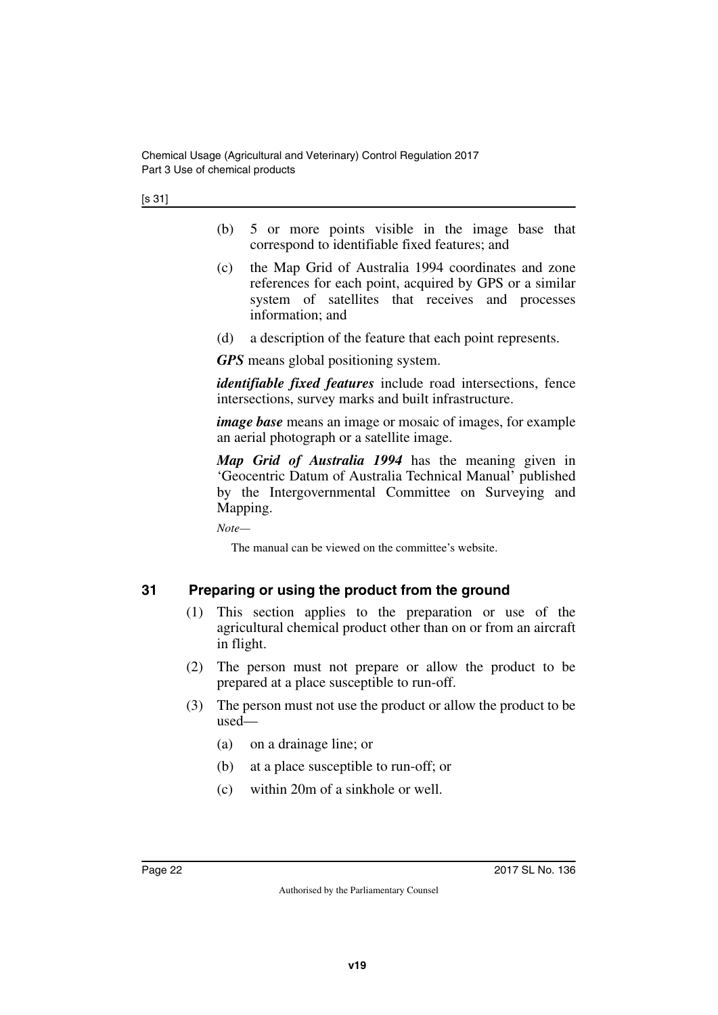[s 31]

- (b) 5 or more points visible in the image base that correspond to identifiable fixed features; and
- (c) the Map Grid of Australia 1994 coordinates and zone references for each point, acquired by GPS or a similar system of satellites that receives and processes information; and
- (d) a description of the feature that each point represents.

*GPS* means global positioning system.

*identifiable fixed features* include road intersections, fence intersections, survey marks and built infrastructure.

*image base* means an image or mosaic of images, for example an aerial photograph or a satellite image.

*Map Grid of Australia 1994* has the meaning given in 'Geocentric Datum of Australia Technical Manual' published by the Intergovernmental Committee on Surveying and Mapping.

*Note—*

The manual can be viewed on the committee's website.

### <span id="page-21-0"></span>**31 Preparing or using the product from the ground**

- <span id="page-21-1"></span>(1) This section applies to the preparation or use of the agricultural chemical product other than on or from an aircraft in flight.
- (2) The person must not prepare or allow the product to be prepared at a place susceptible to run-off.
- (3) The person must not use the product or allow the product to be used—
	- (a) on a drainage line; or
	- (b) at a place susceptible to run-off; or
	- (c) within 20m of a sinkhole or well.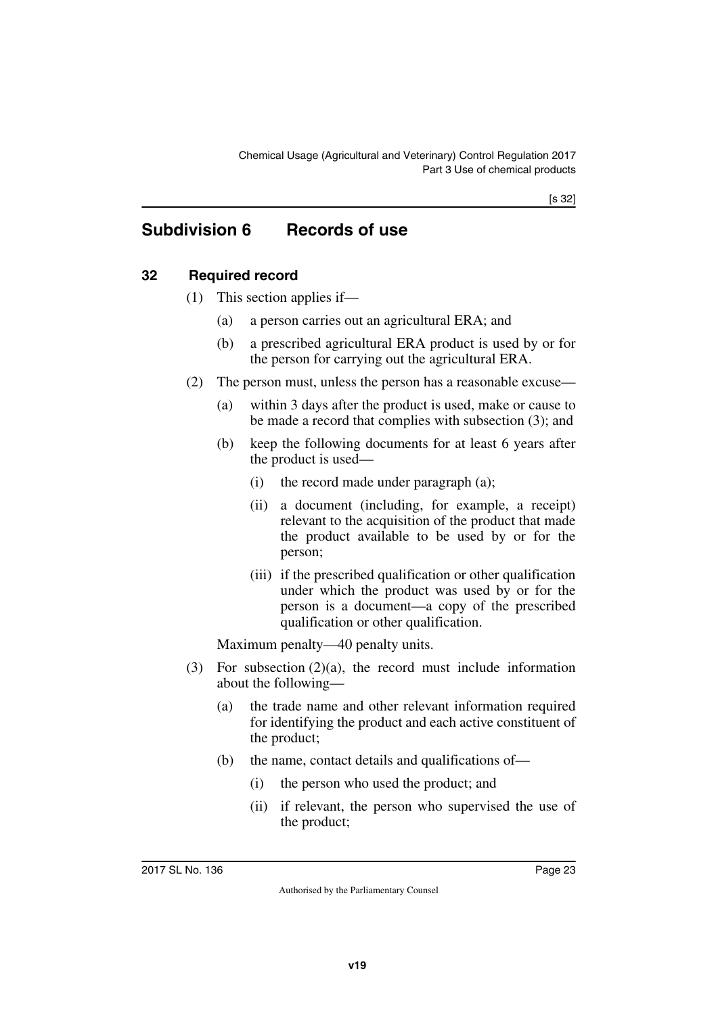# <span id="page-22-0"></span>**Subdivision 6 Records of use**

### <span id="page-22-2"></span>**32 Required record**

- <span id="page-22-3"></span><span id="page-22-1"></span>(1) This section applies if—
	- (a) a person carries out an agricultural ERA; and
	- (b) a prescribed agricultural ERA product is used by or for the person for carrying out the agricultural ERA.
- (2) The person must, unless the person has a reasonable excuse—
	- (a) within 3 days after the product is used, make or cause to be made a record that complies with subsection (3); and
	- (b) keep the following documents for at least 6 years after the product is used—
		- (i) the record made under paragraph (a);
		- (ii) a document (including, for example, a receipt) relevant to the acquisition of the product that made the product available to be used by or for the person;
		- (iii) if the prescribed qualification or other qualification under which the product was used by or for the person is a document—a copy of the prescribed qualification or other qualification.

Maximum penalty—40 penalty units.

- (3) For subsection (2)(a), the record must include information about the following—
	- (a) the trade name and other relevant information required for identifying the product and each active constituent of the product;
	- (b) the name, contact details and qualifications of—
		- (i) the person who used the product; and
		- (ii) if relevant, the person who supervised the use of the product;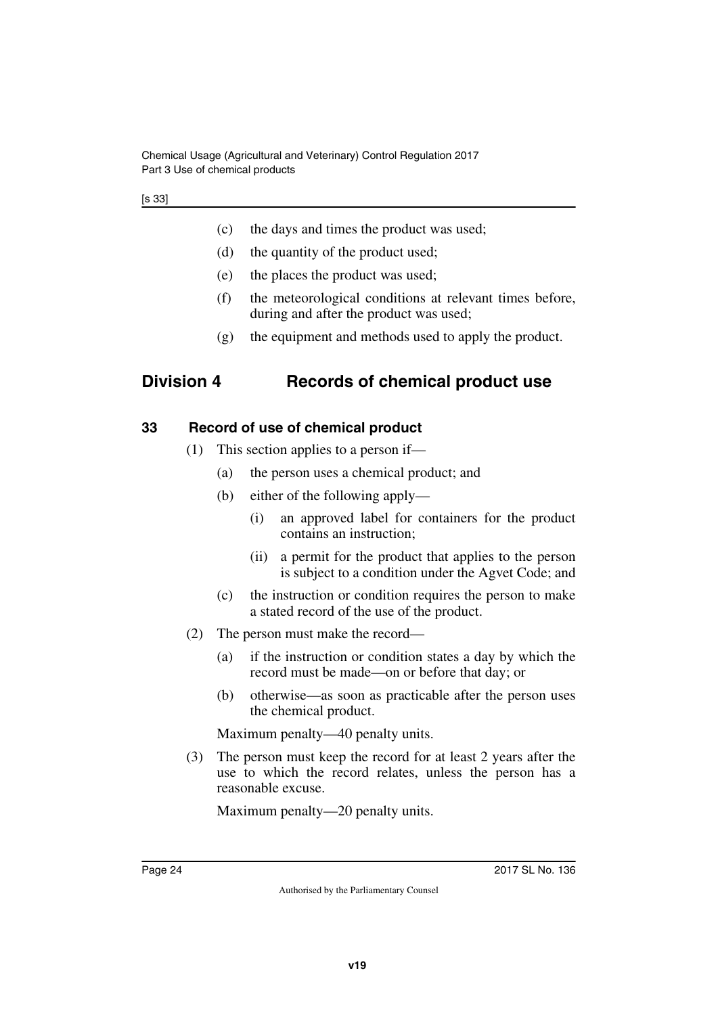Chemical Usage (Agricultural and Veterinary) Control Regulation 2017 Part 3 Use of chemical products

- (c) the days and times the product was used;
- (d) the quantity of the product used;
- (e) the places the product was used;
- (f) the meteorological conditions at relevant times before, during and after the product was used;
- <span id="page-23-1"></span>(g) the equipment and methods used to apply the product.

## <span id="page-23-0"></span>**Division 4 Records of chemical product use**

#### <span id="page-23-2"></span>**33 Record of use of chemical product**

- <span id="page-23-3"></span>(1) This section applies to a person if—
	- (a) the person uses a chemical product; and
	- (b) either of the following apply—
		- (i) an approved label for containers for the product contains an instruction;
		- (ii) a permit for the product that applies to the person is subject to a condition under the Agvet Code; and
	- (c) the instruction or condition requires the person to make a stated record of the use of the product.
- (2) The person must make the record—
	- (a) if the instruction or condition states a day by which the record must be made—on or before that day; or
	- (b) otherwise—as soon as practicable after the person uses the chemical product.

Maximum penalty—40 penalty units.

(3) The person must keep the record for at least 2 years after the use to which the record relates, unless the person has a reasonable excuse.

Maximum penalty—20 penalty units.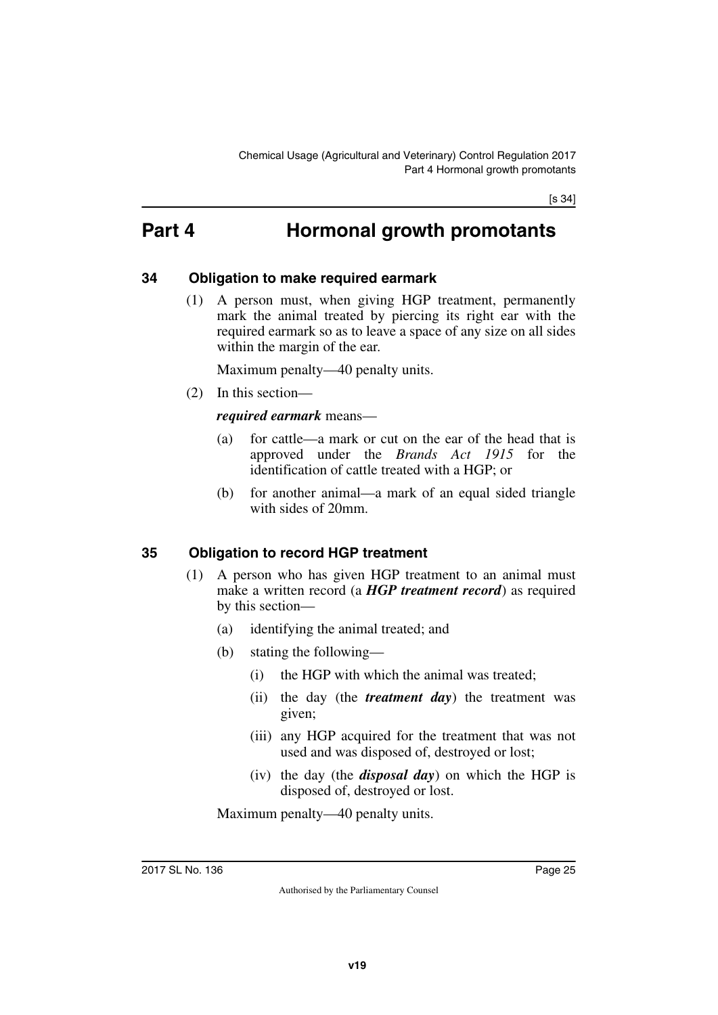# <span id="page-24-0"></span>**Part 4 Hormonal growth promotants**

#### <span id="page-24-2"></span>**34 Obligation to make required earmark**

<span id="page-24-3"></span><span id="page-24-1"></span>(1) A person must, when giving HGP treatment, permanently mark the animal treated by piercing its right ear with the required earmark so as to leave a space of any size on all sides within the margin of the ear.

Maximum penalty—40 penalty units.

(2) In this section—

#### *required earmark* means—

- (a) for cattle—a mark or cut on the ear of the head that is approved under the *Brands Act 1915* for the identification of cattle treated with a HGP; or
- (b) for another animal—a mark of an equal sided triangle with sides of 20mm.

#### <span id="page-24-4"></span>**35 Obligation to record HGP treatment**

- <span id="page-24-5"></span>(1) A person who has given HGP treatment to an animal must make a written record (a *HGP treatment record*) as required by this section—
	- (a) identifying the animal treated; and
	- (b) stating the following—
		- (i) the HGP with which the animal was treated;
		- (ii) the day (the *treatment day*) the treatment was given;
		- (iii) any HGP acquired for the treatment that was not used and was disposed of, destroyed or lost;
		- (iv) the day (the *disposal day*) on which the HGP is disposed of, destroyed or lost.

Maximum penalty—40 penalty units.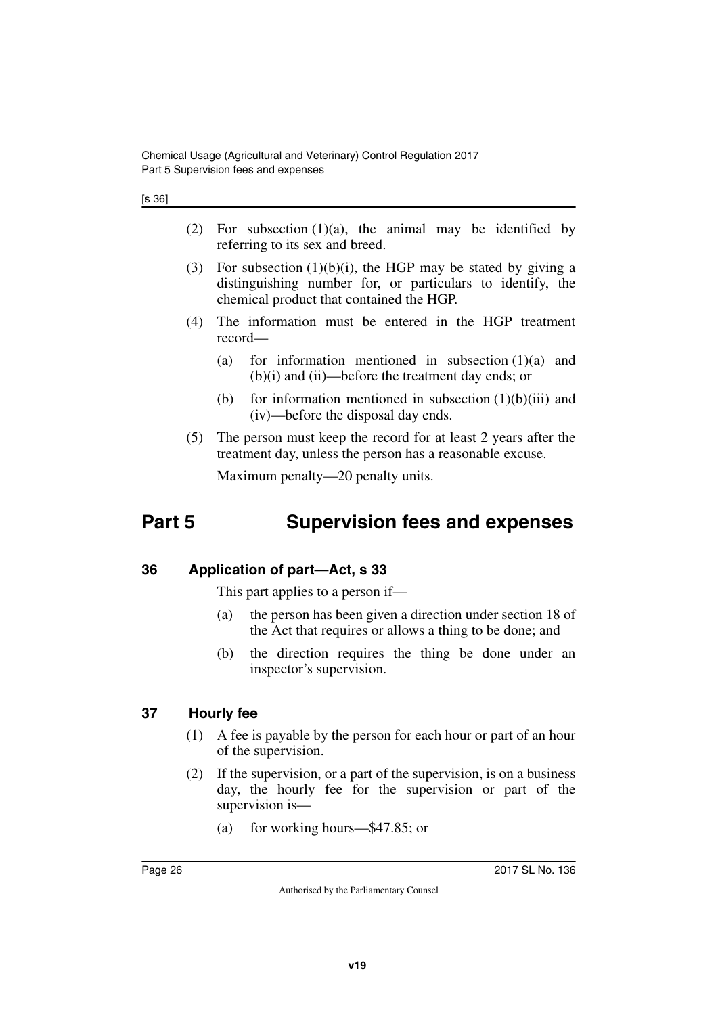| ۰. | ×<br>۰,<br>ł |
|----|--------------|
|----|--------------|

- (2) For subsection  $(1)(a)$ , the animal may be identified by referring to its sex and breed.
- (3) For subsection  $(1)(b)(i)$ , the HGP may be stated by giving a distinguishing number for, or particulars to identify, the chemical product that contained the HGP.
- (4) The information must be entered in the HGP treatment record—
	- (a) for information mentioned in subsection  $(1)(a)$  and (b)(i) and (ii)—before the treatment day ends; or
	- (b) for information mentioned in subsection  $(1)(b)(iii)$  and (iv)—before the disposal day ends.
- (5) The person must keep the record for at least 2 years after the treatment day, unless the person has a reasonable excuse.

<span id="page-25-1"></span>Maximum penalty—20 penalty units.

# <span id="page-25-0"></span>**Part 5 Supervision fees and expenses**

#### <span id="page-25-2"></span>**36 Application of part—Act, s 33**

<span id="page-25-3"></span>This part applies to a person if—

- (a) the person has been given a direction under section 18 of the Act that requires or allows a thing to be done; and
- (b) the direction requires the thing be done under an inspector's supervision.

#### <span id="page-25-4"></span>**37 Hourly fee**

- <span id="page-25-5"></span>(1) A fee is payable by the person for each hour or part of an hour of the supervision.
- (2) If the supervision, or a part of the supervision, is on a business day, the hourly fee for the supervision or part of the supervision is—
	- (a) for working hours—\$47.85; or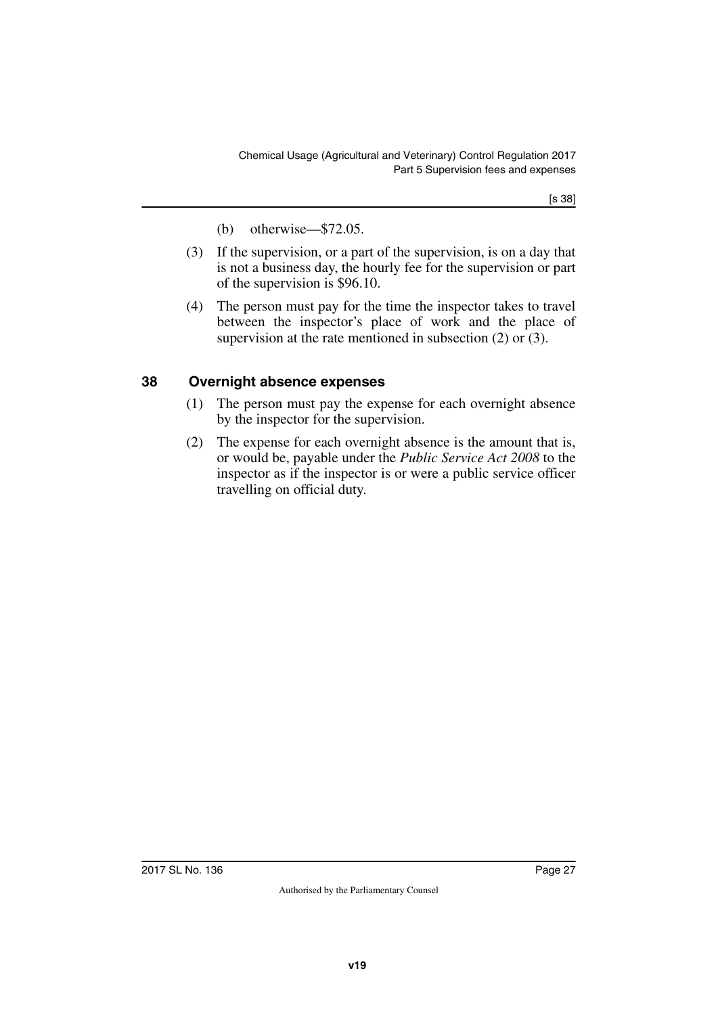[s 38]

- (b) otherwise—\$72.05.
- (3) If the supervision, or a part of the supervision, is on a day that is not a business day, the hourly fee for the supervision or part of the supervision is \$96.10.
- (4) The person must pay for the time the inspector takes to travel between the inspector's place of work and the place of supervision at the rate mentioned in subsection (2) or (3).

### <span id="page-26-0"></span>**38 Overnight absence expenses**

- <span id="page-26-1"></span>(1) The person must pay the expense for each overnight absence by the inspector for the supervision.
- (2) The expense for each overnight absence is the amount that is, or would be, payable under the *Public Service Act 2008* to the inspector as if the inspector is or were a public service officer travelling on official duty.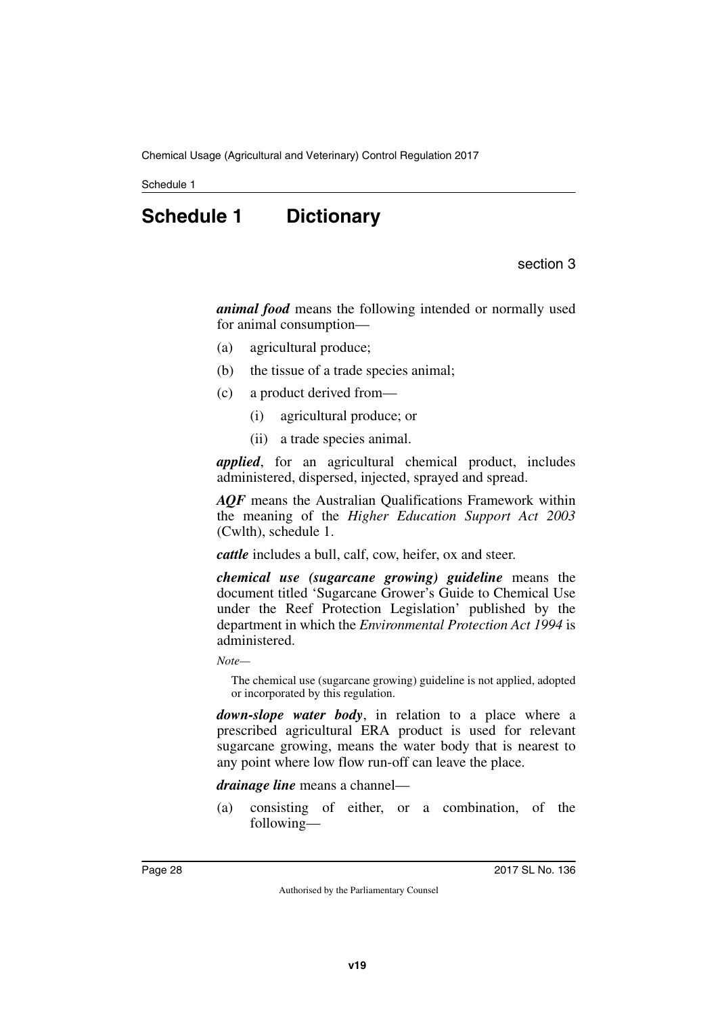<span id="page-27-0"></span>Schedule 1

# **Schedule 1 Dictionary**

section 3

<span id="page-27-1"></span>*animal food* means the following intended or normally used for animal consumption—

- (a) agricultural produce;
- (b) the tissue of a trade species animal;
- (c) a product derived from—
	- (i) agricultural produce; or
	- (ii) a trade species animal.

*applied*, for an agricultural chemical product, includes administered, dispersed, injected, sprayed and spread.

*AQF* means the Australian Qualifications Framework within the meaning of the *Higher Education Support Act 2003* (Cwlth), schedule 1.

*cattle* includes a bull, calf, cow, heifer, ox and steer.

*chemical use (sugarcane growing) guideline* means the document titled 'Sugarcane Grower's Guide to Chemical Use under the Reef Protection Legislation' published by the department in which the *Environmental Protection Act 1994* is administered.

*Note—*

The chemical use (sugarcane growing) guideline is not applied, adopted or incorporated by this regulation.

*down-slope water body*, in relation to a place where a prescribed agricultural ERA product is used for relevant sugarcane growing, means the water body that is nearest to any point where low flow run-off can leave the place.

*drainage line* means a channel—

(a) consisting of either, or a combination, of the following—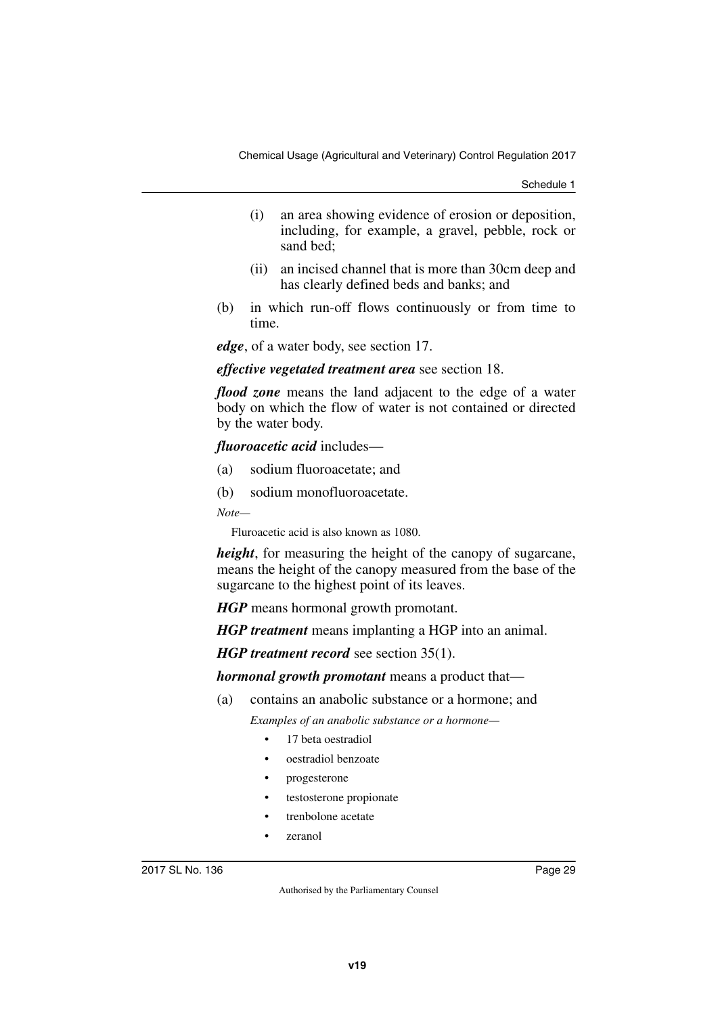Schedule 1

- (i) an area showing evidence of erosion or deposition, including, for example, a gravel, pebble, rock or sand bed;
- (ii) an incised channel that is more than 30cm deep and has clearly defined beds and banks; and
- (b) in which run-off flows continuously or from time to time.

*edge*, of a water body, see section 17.

#### *effective vegetated treatment area* see section 18.

*flood zone* means the land adjacent to the edge of a water body on which the flow of water is not contained or directed by the water body.

*fluoroacetic acid* includes—

- (a) sodium fluoroacetate; and
- (b) sodium monofluoroacetate.

*Note—*

Fluroacetic acid is also known as 1080.

*height*, for measuring the height of the canopy of sugarcane, means the height of the canopy measured from the base of the sugarcane to the highest point of its leaves.

*HGP* means hormonal growth promotant.

*HGP treatment* means implanting a HGP into an animal.

*HGP treatment record* see section 35(1).

*hormonal growth promotant* means a product that—

- (a) contains an anabolic substance or a hormone; and *Examples of an anabolic substance or a hormone—*
	- 17 beta oestradiol
	- oestradiol benzoate
	- progesterone
	- testosterone propionate
	- trenbolone acetate
	- zeranol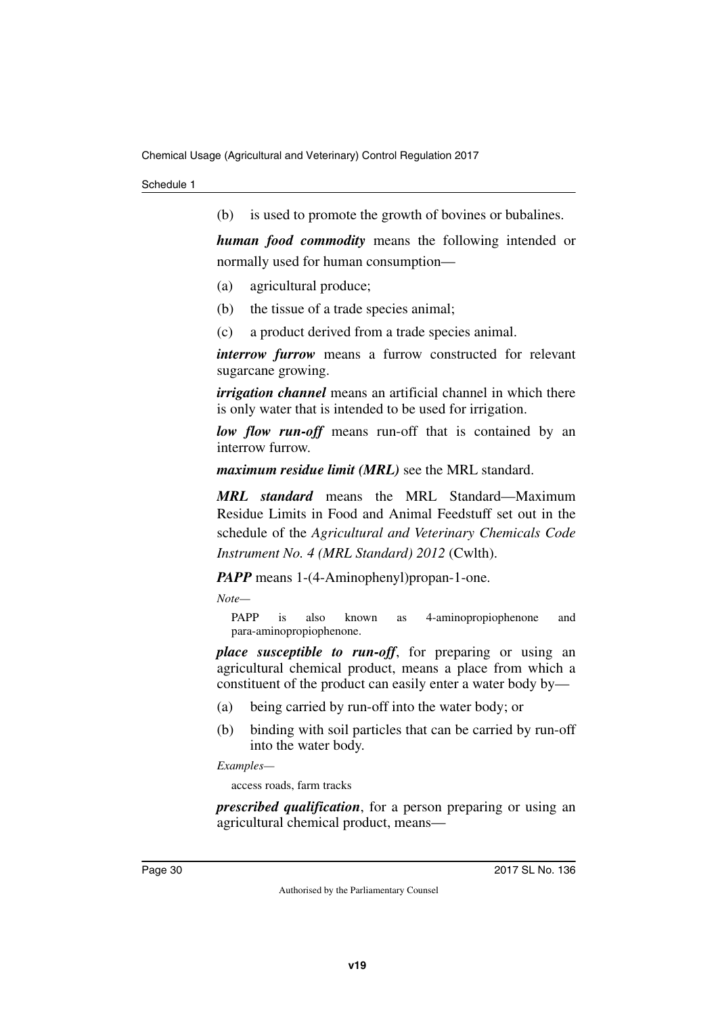(b) is used to promote the growth of bovines or bubalines.

*human food commodity* means the following intended or normally used for human consumption—

- (a) agricultural produce;
- (b) the tissue of a trade species animal;
- (c) a product derived from a trade species animal.

*interrow furrow* means a furrow constructed for relevant sugarcane growing.

*irrigation channel* means an artificial channel in which there is only water that is intended to be used for irrigation.

*low flow run-off* means run-off that is contained by an interrow furrow.

*maximum residue limit (MRL)* see the MRL standard.

*MRL standard* means the MRL Standard—Maximum Residue Limits in Food and Animal Feedstuff set out in the schedule of the *Agricultural and Veterinary Chemicals Code Instrument No. 4 (MRL Standard) 2012* (Cwlth).

*PAPP* means 1-(4-Aminophenyl)propan-1-one.

*Note—*

PAPP is also known as 4-aminopropiophenone and para-aminopropiophenone.

*place susceptible to run-off*, for preparing or using an agricultural chemical product, means a place from which a constituent of the product can easily enter a water body by—

- (a) being carried by run-off into the water body; or
- (b) binding with soil particles that can be carried by run-off into the water body.

*Examples—*

access roads, farm tracks

*prescribed qualification*, for a person preparing or using an agricultural chemical product, means—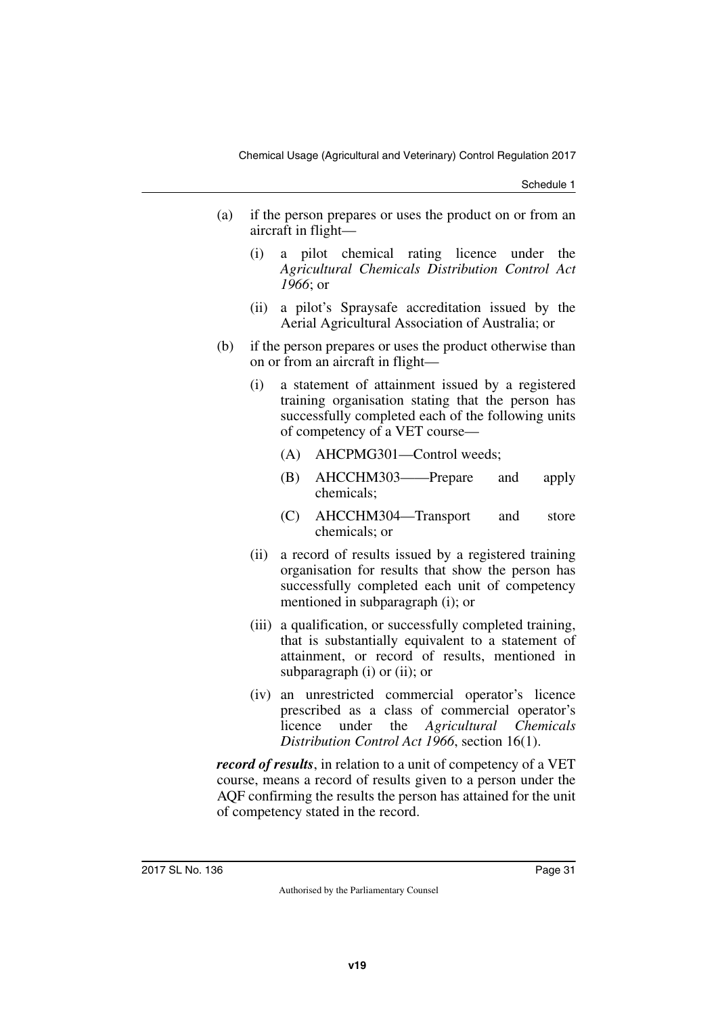Schedule 1

- (a) if the person prepares or uses the product on or from an aircraft in flight—
	- (i) a pilot chemical rating licence under the *Agricultural Chemicals Distribution Control Act 1966*; or
	- (ii) a pilot's Spraysafe accreditation issued by the Aerial Agricultural Association of Australia; or
- (b) if the person prepares or uses the product otherwise than on or from an aircraft in flight—
	- (i) a statement of attainment issued by a registered training organisation stating that the person has successfully completed each of the following units of competency of a VET course—
		- (A) AHCPMG301—Control weeds;
		- (B) AHCCHM303——Prepare and apply chemicals;
		- (C) AHCCHM304—Transport and store chemicals; or
	- (ii) a record of results issued by a registered training organisation for results that show the person has successfully completed each unit of competency mentioned in subparagraph (i); or
	- (iii) a qualification, or successfully completed training, that is substantially equivalent to a statement of attainment, or record of results, mentioned in subparagraph (i) or (ii); or
	- (iv) an unrestricted commercial operator's licence prescribed as a class of commercial operator's licence under the *Agricultural Chemicals Distribution Control Act 1966*, section 16(1).

*record of results*, in relation to a unit of competency of a VET course, means a record of results given to a person under the AQF confirming the results the person has attained for the unit of competency stated in the record.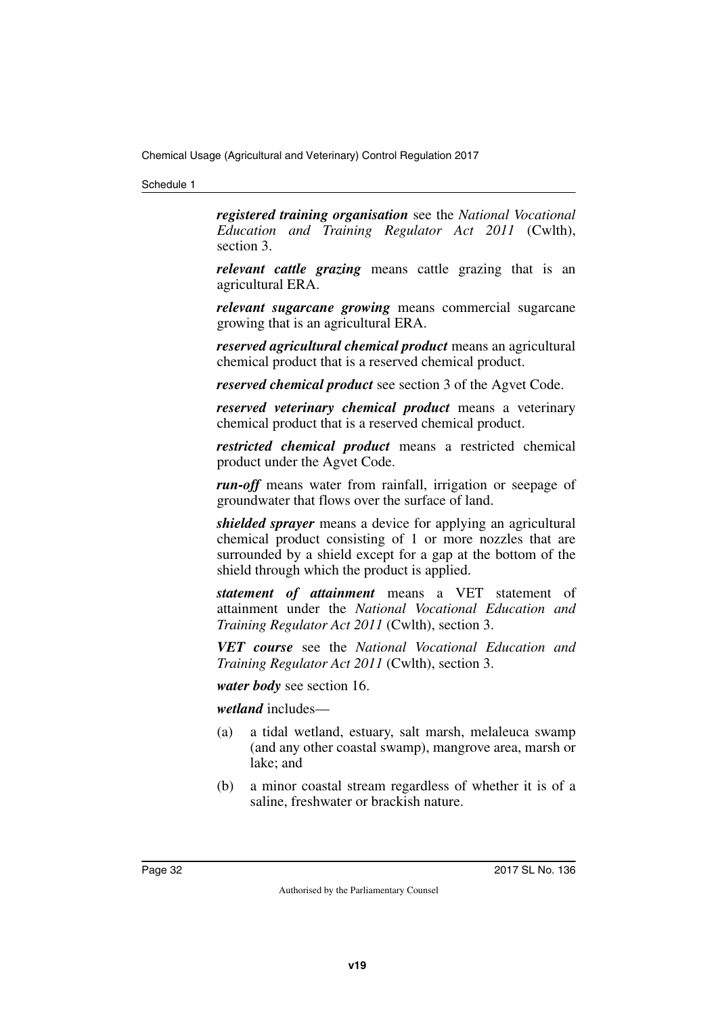#### Schedule 1

*registered training organisation* see the *National Vocational Education and Training Regulator Act 2011* (Cwlth), section 3.

*relevant cattle grazing* means cattle grazing that is an agricultural ERA.

*relevant sugarcane growing* means commercial sugarcane growing that is an agricultural ERA.

*reserved agricultural chemical product* means an agricultural chemical product that is a reserved chemical product.

*reserved chemical product* see section 3 of the Agvet Code.

*reserved veterinary chemical product* means a veterinary chemical product that is a reserved chemical product.

*restricted chemical product* means a restricted chemical product under the Agvet Code.

*run-off* means water from rainfall, irrigation or seepage of groundwater that flows over the surface of land.

*shielded sprayer* means a device for applying an agricultural chemical product consisting of 1 or more nozzles that are surrounded by a shield except for a gap at the bottom of the shield through which the product is applied.

*statement of attainment* means a VET statement of attainment under the *National Vocational Education and Training Regulator Act 2011* (Cwlth), section 3.

*VET course* see the *National Vocational Education and Training Regulator Act 2011* (Cwlth), section 3.

*water body* see section 16.

*wetland* includes—

- (a) a tidal wetland, estuary, salt marsh, melaleuca swamp (and any other coastal swamp), mangrove area, marsh or lake; and
- (b) a minor coastal stream regardless of whether it is of a saline, freshwater or brackish nature.